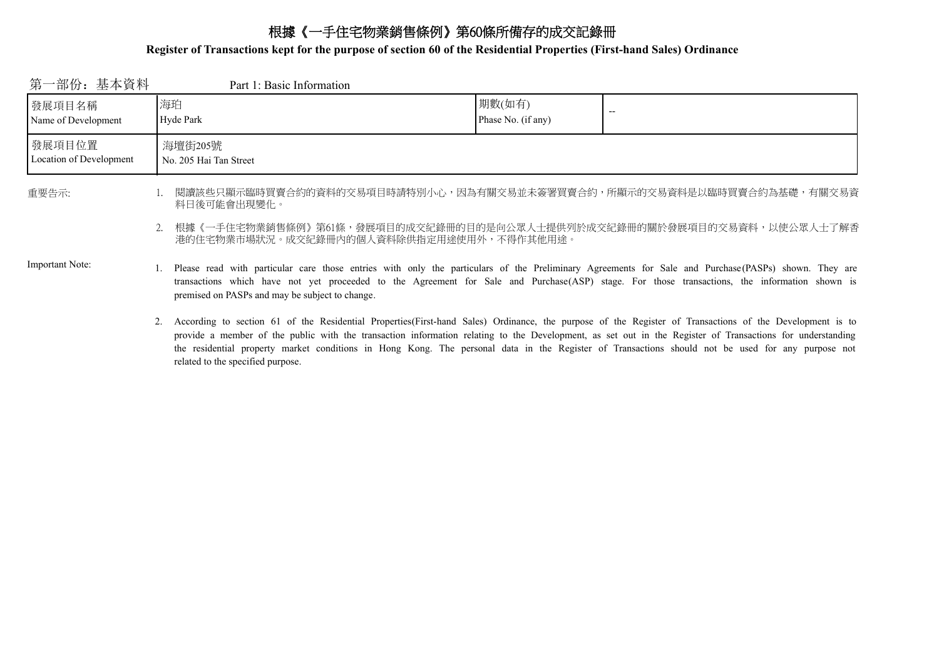# 根據《一手住宅物業銷售條例》第60條所備存的成交記錄冊

### **Register of Transactions kept for the purpose of section 60 of the Residential Properties (First-hand Sales) Ordinance**

| 第一部份: 基本資料                        | Part 1: Basic Information                                                                                                                                                                                                                                                                                                                                   |                              |  |
|-----------------------------------|-------------------------------------------------------------------------------------------------------------------------------------------------------------------------------------------------------------------------------------------------------------------------------------------------------------------------------------------------------------|------------------------------|--|
| 發展項目名稱<br>Name of Development     | 海珀<br>Hyde Park                                                                                                                                                                                                                                                                                                                                             | 期數(如有)<br>Phase No. (if any) |  |
| 發展項目位置<br>Location of Development | 海壇街205號<br>No. 205 Hai Tan Street                                                                                                                                                                                                                                                                                                                           |                              |  |
| 重要告示:                             | 閱讀該些只顯示臨時買賣合約的資料的交易項目時請特別小心,因為有關交易並未簽署買賣合約,所顯示的交易資料是以臨時買賣合約為基礎,有關交易資<br>料日後可能會出現變化。                                                                                                                                                                                                                                                                         |                              |  |
|                                   | 2. 根據《一手住宅物業銷售條例》第61條,發展項目的成交紀錄冊的目的是向公眾人士提供列於成交紀錄冊的關於發展項目的交易資料,以使公眾人士了解香<br>港的住宅物業市場狀況。成交紀錄冊內的個人資料除供指定用途使用外,不得作其他用途。                                                                                                                                                                                                                                        |                              |  |
| <b>Important Note:</b>            | 1. Please read with particular care those entries with only the particulars of the Preliminary Agreements for Sale and Purchase (PASPs) shown. They are<br>transactions which have not yet proceeded to the Agreement for Sale and Purchase(ASP) stage. For those transactions, the information shown is<br>premised on PASPs and may be subject to change. |                              |  |
|                                   | 2. According to section 61 of the Residential Properties(First-hand Sales) Ordinance, the purpose of the Register of Transactions of the Development is to<br>provide a member of the public with the transaction information relating to the Development, as set out in the Register of Transactions for understanding                                     |                              |  |

related to the specified purpose.

the residential property market conditions in Hong Kong. The personal data in the Register of Transactions should not be used for any purpose not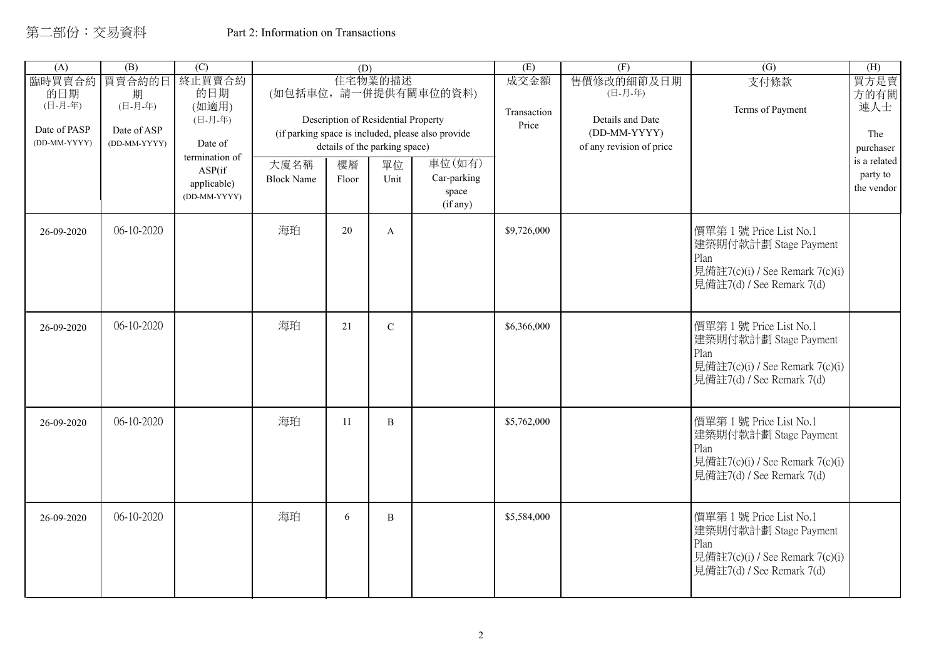| (A)                                                      | (B)                                                   | $\overline{(C)}$                                                                                        |                           | (D)         |                                                                                               |                                                                                                                          | (E)                          | (F)                                                                                   | $\overline{(G)}$                                                                                                       | (H)                                                                               |
|----------------------------------------------------------|-------------------------------------------------------|---------------------------------------------------------------------------------------------------------|---------------------------|-------------|-----------------------------------------------------------------------------------------------|--------------------------------------------------------------------------------------------------------------------------|------------------------------|---------------------------------------------------------------------------------------|------------------------------------------------------------------------------------------------------------------------|-----------------------------------------------------------------------------------|
| 臨時買賣合約<br>的日期<br>(日-月-年)<br>Date of PASP<br>(DD-MM-YYYY) | 買賣合約的日<br>期<br>(日-月-年)<br>Date of ASP<br>(DD-MM-YYYY) | 終止買賣合約<br>的日期<br>(如適用)<br>(日-月-年)<br>Date of<br>termination of<br>ASP(if<br>applicable)<br>(DD-MM-YYYY) | 大廈名稱<br><b>Block Name</b> | 樓層<br>Floor | 住宅物業的描述<br>Description of Residential Property<br>details of the parking space)<br>單位<br>Unit | (如包括車位,請一併提供有關車位的資料)<br>(if parking space is included, please also provide<br>車位(如有)<br>Car-parking<br>space<br>(if any) | 成交金額<br>Transaction<br>Price | 售價修改的細節及日期<br>(日-月-年)<br>Details and Date<br>(DD-MM-YYYY)<br>of any revision of price | 支付條款<br>Terms of Payment                                                                                               | 買方是賣<br>方的有關<br>連人士<br>The<br>purchaser<br>is a related<br>party to<br>the vendor |
| 26-09-2020                                               | 06-10-2020                                            |                                                                                                         | 海珀                        | 20          | $\mathbf{A}$                                                                                  |                                                                                                                          | \$9,726,000                  |                                                                                       | 價單第1號 Price List No.1<br>建築期付款計劃 Stage Payment<br>Plan<br>見備註7(c)(i) / See Remark 7(c)(i)<br>見備註7(d) / See Remark 7(d) |                                                                                   |
| 26-09-2020                                               | 06-10-2020                                            |                                                                                                         | 海珀                        | 21          | $\mathbf C$                                                                                   |                                                                                                                          | \$6,366,000                  |                                                                                       | 價單第1號 Price List No.1<br>建築期付款計劃 Stage Payment<br>Plan<br>見備註7(c)(i) / See Remark 7(c)(i)<br>見備註7(d) / See Remark 7(d) |                                                                                   |
| 26-09-2020                                               | 06-10-2020                                            |                                                                                                         | 海珀                        | 11          | $\overline{B}$                                                                                |                                                                                                                          | \$5,762,000                  |                                                                                       | 價單第1號 Price List No.1<br>建築期付款計劃 Stage Payment<br>Plan<br>見備註7(c)(i) / See Remark 7(c)(i)<br>見備註7(d) / See Remark 7(d) |                                                                                   |
| 26-09-2020                                               | 06-10-2020                                            |                                                                                                         | 海珀                        | 6           | B                                                                                             |                                                                                                                          | \$5,584,000                  |                                                                                       | 價單第1號 Price List No.1<br>建築期付款計劃 Stage Payment<br>Plan<br>見備註7(c)(i) / See Remark 7(c)(i)<br>見備註7(d) / See Remark 7(d) |                                                                                   |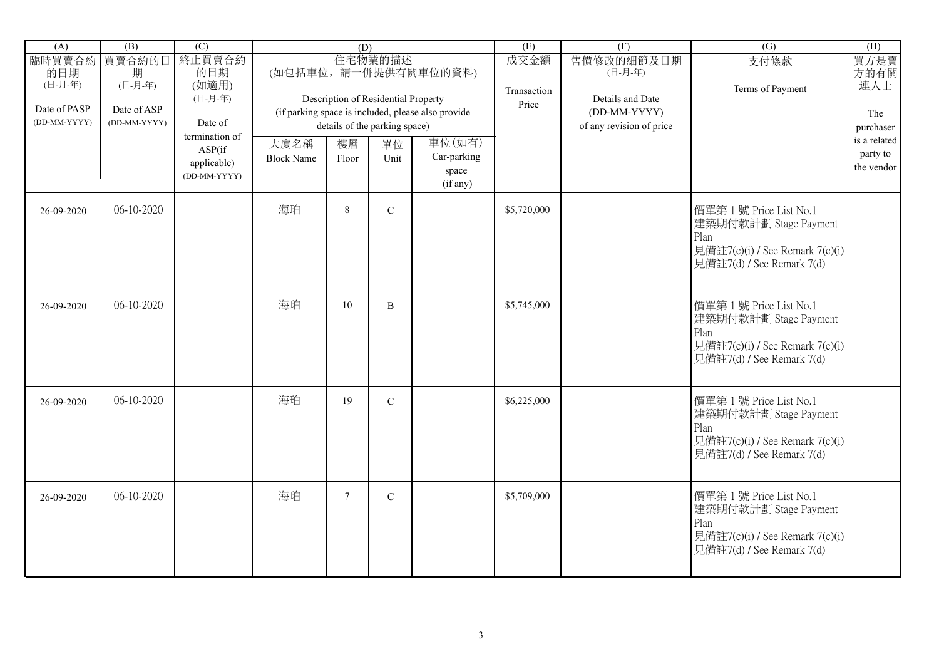| (A)                                                      | (B)                                                   | $\overline{(C)}$                                        |                           | (D)             |                                                                                 |                                                                            | (E)                          | (F)                                                                                   | $\overline{(G)}$                                                                                                       | (H)                                     |
|----------------------------------------------------------|-------------------------------------------------------|---------------------------------------------------------|---------------------------|-----------------|---------------------------------------------------------------------------------|----------------------------------------------------------------------------|------------------------------|---------------------------------------------------------------------------------------|------------------------------------------------------------------------------------------------------------------------|-----------------------------------------|
| 臨時買賣合約<br>的日期<br>(日-月-年)<br>Date of PASP<br>(DD-MM-YYYY) | 買賣合約的日<br>期<br>(日-月-年)<br>Date of ASP<br>(DD-MM-YYYY) | 終止買賣合約<br>的日期<br>(如適用)<br>(日-月-年)<br>Date of            |                           |                 | 住宅物業的描述<br>Description of Residential Property<br>details of the parking space) | (如包括車位,請一併提供有關車位的資料)<br>(if parking space is included, please also provide | 成交金額<br>Transaction<br>Price | 售價修改的細節及日期<br>(日-月-年)<br>Details and Date<br>(DD-MM-YYYY)<br>of any revision of price | 支付條款<br>Terms of Payment                                                                                               | 買方是賣<br>方的有關<br>連人士<br>The<br>purchaser |
|                                                          |                                                       | termination of<br>ASP(if<br>applicable)<br>(DD-MM-YYYY) | 大廈名稱<br><b>Block Name</b> | 樓層<br>Floor     | 單位<br>Unit                                                                      | 車位(如有)<br>Car-parking<br>space<br>(if any)                                 |                              |                                                                                       |                                                                                                                        | is a related<br>party to<br>the vendor  |
| 26-09-2020                                               | 06-10-2020                                            |                                                         | 海珀                        | $8\,$           | $\mathbf C$                                                                     |                                                                            | \$5,720,000                  |                                                                                       | 價單第1號 Price List No.1<br>建築期付款計劃 Stage Payment<br>Plan<br>見備註7(c)(i) / See Remark 7(c)(i)<br>見備註7(d) / See Remark 7(d) |                                         |
| 26-09-2020                                               | 06-10-2020                                            |                                                         | 海珀                        | 10              | B                                                                               |                                                                            | \$5,745,000                  |                                                                                       | 價單第1號 Price List No.1<br>建築期付款計劃 Stage Payment<br>Plan<br>見備註7(c)(i) / See Remark 7(c)(i)<br>見備註7(d) / See Remark 7(d) |                                         |
| 26-09-2020                                               | 06-10-2020                                            |                                                         | 海珀                        | 19              | $\mathbf C$                                                                     |                                                                            | \$6,225,000                  |                                                                                       | 價單第1號 Price List No.1<br>建築期付款計劃 Stage Payment<br>Plan<br>見備註7(c)(i) / See Remark 7(c)(i)<br>見備註7(d) / See Remark 7(d) |                                         |
| 26-09-2020                                               | 06-10-2020                                            |                                                         | 海珀                        | $7\phantom{.0}$ | $\mathbf C$                                                                     |                                                                            | \$5,709,000                  |                                                                                       | 價單第1號 Price List No.1<br>建築期付款計劃 Stage Payment<br>Plan<br>見備註7(c)(i) / See Remark 7(c)(i)<br>見備註7(d) / See Remark 7(d) |                                         |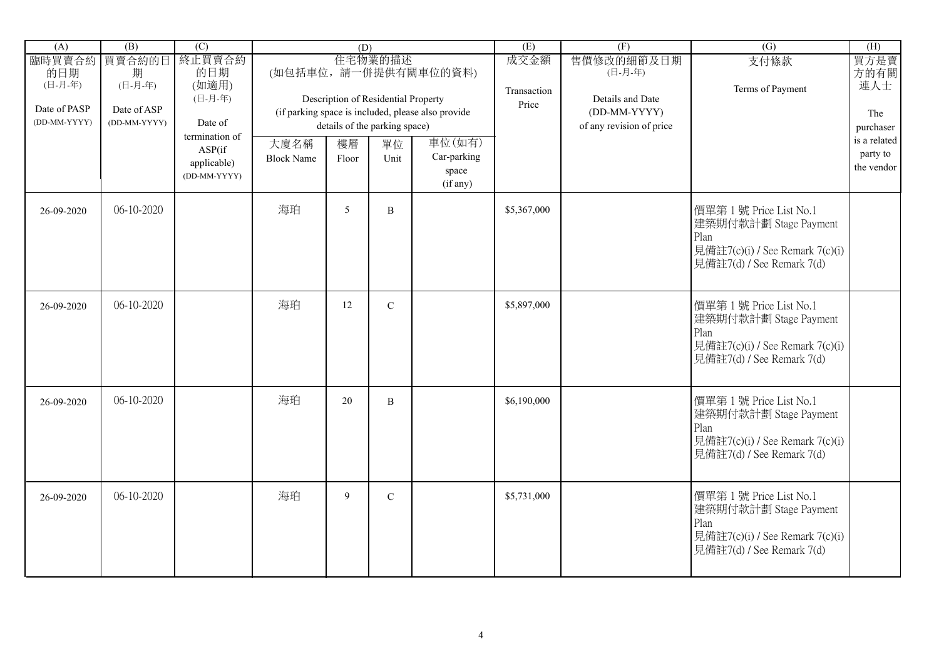| (A)                                                      | (B)                                                   | $\overline{(C)}$                                               |                           | (D)         |                                                                                 |                                                                            | (E)                          | (F)                                                                                   | $\overline{(G)}$                                                                                                       | (H)                                     |
|----------------------------------------------------------|-------------------------------------------------------|----------------------------------------------------------------|---------------------------|-------------|---------------------------------------------------------------------------------|----------------------------------------------------------------------------|------------------------------|---------------------------------------------------------------------------------------|------------------------------------------------------------------------------------------------------------------------|-----------------------------------------|
| 臨時買賣合約<br>的日期<br>(日-月-年)<br>Date of PASP<br>(DD-MM-YYYY) | 買賣合約的日<br>期<br>(日-月-年)<br>Date of ASP<br>(DD-MM-YYYY) | 終止買賣合約<br>的日期<br>(如適用)<br>(日-月-年)<br>Date of<br>termination of |                           |             | 住宅物業的描述<br>Description of Residential Property<br>details of the parking space) | (如包括車位,請一併提供有關車位的資料)<br>(if parking space is included, please also provide | 成交金額<br>Transaction<br>Price | 售價修改的細節及日期<br>(日-月-年)<br>Details and Date<br>(DD-MM-YYYY)<br>of any revision of price | 支付條款<br>Terms of Payment                                                                                               | 買方是賣<br>方的有關<br>連人士<br>The<br>purchaser |
|                                                          |                                                       | ASP(if<br>applicable)<br>(DD-MM-YYYY)                          | 大廈名稱<br><b>Block Name</b> | 樓層<br>Floor | 單位<br>Unit                                                                      | 車位(如有)<br>Car-parking<br>space<br>(if any)                                 |                              |                                                                                       |                                                                                                                        | is a related<br>party to<br>the vendor  |
| 26-09-2020                                               | 06-10-2020                                            |                                                                | 海珀                        | 5           | B                                                                               |                                                                            | \$5,367,000                  |                                                                                       | 價單第1號 Price List No.1<br>建築期付款計劃 Stage Payment<br>Plan<br>見備註7(c)(i) / See Remark 7(c)(i)<br>見備註7(d) / See Remark 7(d) |                                         |
| 26-09-2020                                               | 06-10-2020                                            |                                                                | 海珀                        | 12          | $\mathbf C$                                                                     |                                                                            | \$5,897,000                  |                                                                                       | 價單第1號 Price List No.1<br>建築期付款計劃 Stage Payment<br>Plan<br>見備註7(c)(i) / See Remark 7(c)(i)<br>見備註7(d) / See Remark 7(d) |                                         |
| 26-09-2020                                               | 06-10-2020                                            |                                                                | 海珀                        | 20          | $\, {\bf B}$                                                                    |                                                                            | \$6,190,000                  |                                                                                       | 價單第1號 Price List No.1<br>建築期付款計劃 Stage Payment<br>Plan<br>見備註7(c)(i) / See Remark 7(c)(i)<br>見備註7(d) / See Remark 7(d) |                                         |
| 26-09-2020                                               | 06-10-2020                                            |                                                                | 海珀                        | 9           | $\mathbf C$                                                                     |                                                                            | \$5,731,000                  |                                                                                       | 價單第1號 Price List No.1<br>建築期付款計劃 Stage Payment<br>Plan<br>見備註7(c)(i) / See Remark 7(c)(i)<br>見備註7(d) / See Remark 7(d) |                                         |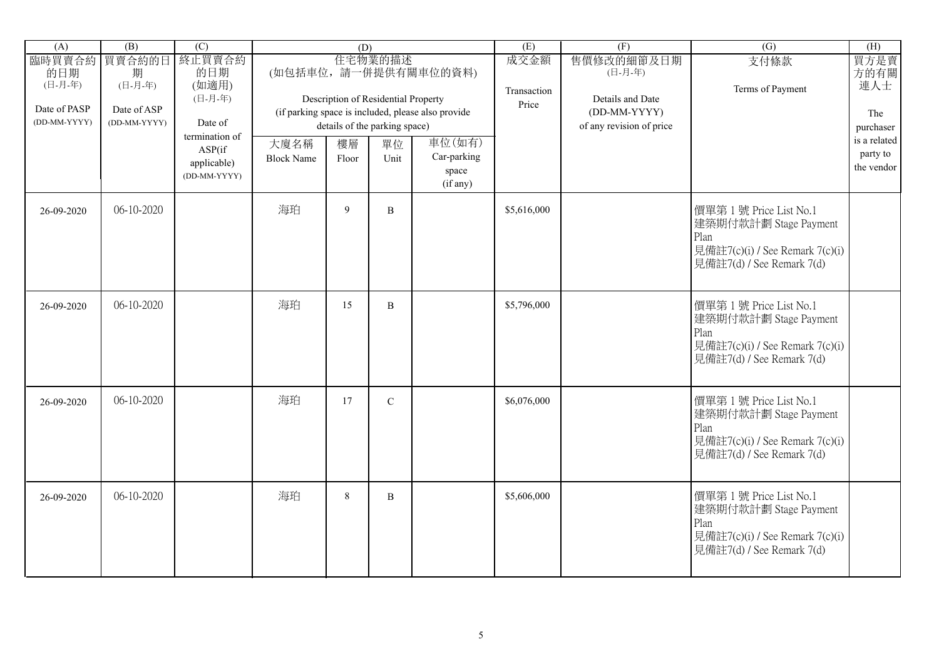| (A)                          | (B)                         | $\overline{(C)}$                                        |                           | (D)         |                                                |                                                    | (E)                          | (F)                                       | $\overline{(G)}$                                                                                                       | (H)                                    |
|------------------------------|-----------------------------|---------------------------------------------------------|---------------------------|-------------|------------------------------------------------|----------------------------------------------------|------------------------------|-------------------------------------------|------------------------------------------------------------------------------------------------------------------------|----------------------------------------|
| 臨時買賣合約<br>的日期<br>(日-月-年)     | 買賣合約的日<br>期<br>(日-月-年)      | 終止買賣合約<br>的日期<br>(如適用)<br>(日-月-年)                       |                           |             | 住宅物業的描述<br>Description of Residential Property | (如包括車位,請一併提供有關車位的資料)                               | 成交金額<br>Transaction<br>Price | 售價修改的細節及日期<br>(日-月-年)<br>Details and Date | 支付條款<br>Terms of Payment                                                                                               | 買方是賣<br>方的有關<br>連人士                    |
| Date of PASP<br>(DD-MM-YYYY) | Date of ASP<br>(DD-MM-YYYY) | Date of                                                 |                           |             | details of the parking space)                  | (if parking space is included, please also provide |                              | (DD-MM-YYYY)<br>of any revision of price  |                                                                                                                        | The<br>purchaser                       |
|                              |                             | termination of<br>ASP(if<br>applicable)<br>(DD-MM-YYYY) | 大廈名稱<br><b>Block Name</b> | 樓層<br>Floor | 單位<br>Unit                                     | 車位(如有)<br>Car-parking<br>space<br>(if any)         |                              |                                           |                                                                                                                        | is a related<br>party to<br>the vendor |
| 26-09-2020                   | 06-10-2020                  |                                                         | 海珀                        | 9           | B                                              |                                                    | \$5,616,000                  |                                           | 價單第1號 Price List No.1<br>建築期付款計劃 Stage Payment<br>Plan<br>見備註7(c)(i) / See Remark 7(c)(i)<br>見備註7(d) / See Remark 7(d) |                                        |
| 26-09-2020                   | 06-10-2020                  |                                                         | 海珀                        | 15          | $\, {\bf B}$                                   |                                                    | \$5,796,000                  |                                           | 價單第1號 Price List No.1<br>建築期付款計劃 Stage Payment<br>Plan<br>見備註7(c)(i) / See Remark 7(c)(i)<br>見備註7(d) / See Remark 7(d) |                                        |
| 26-09-2020                   | 06-10-2020                  |                                                         | 海珀                        | 17          | $\mathbf C$                                    |                                                    | \$6,076,000                  |                                           | 價單第1號 Price List No.1<br>建築期付款計劃 Stage Payment<br>Plan<br>見備註7(c)(i) / See Remark 7(c)(i)<br>見備註7(d) / See Remark 7(d) |                                        |
| 26-09-2020                   | 06-10-2020                  |                                                         | 海珀                        | $8\,$       | $\, {\bf B}$                                   |                                                    | \$5,606,000                  |                                           | 價單第1號 Price List No.1<br>建築期付款計劃 Stage Payment<br>Plan<br>見備註7(c)(i) / See Remark 7(c)(i)<br>見備註7(d) / See Remark 7(d) |                                        |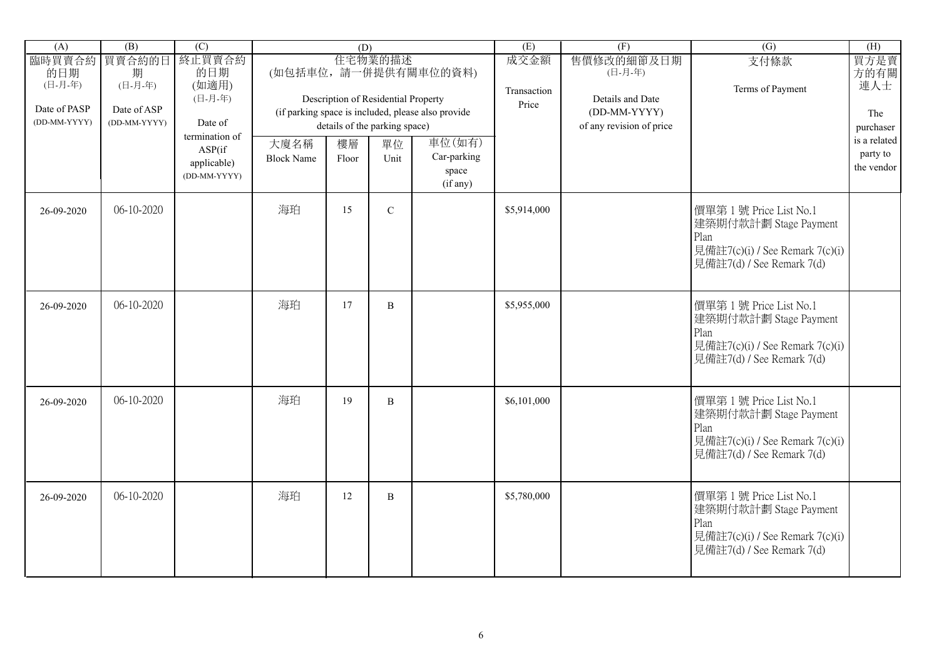| (A)                                                      | (B)                                                   | $\overline{(C)}$                                               |                           | (D)         |                                                                                 |                                                                            | (E)                          | (F)                                                                                   | $\overline{(G)}$                                                                                                       | (H)                                     |
|----------------------------------------------------------|-------------------------------------------------------|----------------------------------------------------------------|---------------------------|-------------|---------------------------------------------------------------------------------|----------------------------------------------------------------------------|------------------------------|---------------------------------------------------------------------------------------|------------------------------------------------------------------------------------------------------------------------|-----------------------------------------|
| 臨時買賣合約<br>的日期<br>(日-月-年)<br>Date of PASP<br>(DD-MM-YYYY) | 買賣合約的日<br>期<br>(日-月-年)<br>Date of ASP<br>(DD-MM-YYYY) | 終止買賣合約<br>的日期<br>(如適用)<br>(日-月-年)<br>Date of<br>termination of |                           |             | 住宅物業的描述<br>Description of Residential Property<br>details of the parking space) | (如包括車位,請一併提供有關車位的資料)<br>(if parking space is included, please also provide | 成交金額<br>Transaction<br>Price | 售價修改的細節及日期<br>(日-月-年)<br>Details and Date<br>(DD-MM-YYYY)<br>of any revision of price | 支付條款<br>Terms of Payment                                                                                               | 買方是賣<br>方的有關<br>連人士<br>The<br>purchaser |
|                                                          |                                                       | ASP(if<br>applicable)<br>(DD-MM-YYYY)                          | 大廈名稱<br><b>Block Name</b> | 樓層<br>Floor | 單位<br>Unit                                                                      | 車位(如有)<br>Car-parking<br>space<br>(if any)                                 |                              |                                                                                       |                                                                                                                        | is a related<br>party to<br>the vendor  |
| 26-09-2020                                               | 06-10-2020                                            |                                                                | 海珀                        | 15          | $\mathbf C$                                                                     |                                                                            | \$5,914,000                  |                                                                                       | 價單第1號 Price List No.1<br>建築期付款計劃 Stage Payment<br>Plan<br>見備註7(c)(i) / See Remark 7(c)(i)<br>見備註7(d) / See Remark 7(d) |                                         |
| 26-09-2020                                               | 06-10-2020                                            |                                                                | 海珀                        | 17          | B                                                                               |                                                                            | \$5,955,000                  |                                                                                       | 價單第1號 Price List No.1<br>建築期付款計劃 Stage Payment<br>Plan<br>見備註7(c)(i) / See Remark 7(c)(i)<br>見備註7(d) / See Remark 7(d) |                                         |
| 26-09-2020                                               | 06-10-2020                                            |                                                                | 海珀                        | 19          | B                                                                               |                                                                            | \$6,101,000                  |                                                                                       | 價單第1號 Price List No.1<br>建築期付款計劃 Stage Payment<br>Plan<br>見備註7(c)(i) / See Remark 7(c)(i)<br>見備註7(d) / See Remark 7(d) |                                         |
| 26-09-2020                                               | 06-10-2020                                            |                                                                | 海珀                        | 12          | B                                                                               |                                                                            | \$5,780,000                  |                                                                                       | 價單第1號 Price List No.1<br>建築期付款計劃 Stage Payment<br>Plan<br>見備註7(c)(i) / See Remark 7(c)(i)<br>見備註7(d) / See Remark 7(d) |                                         |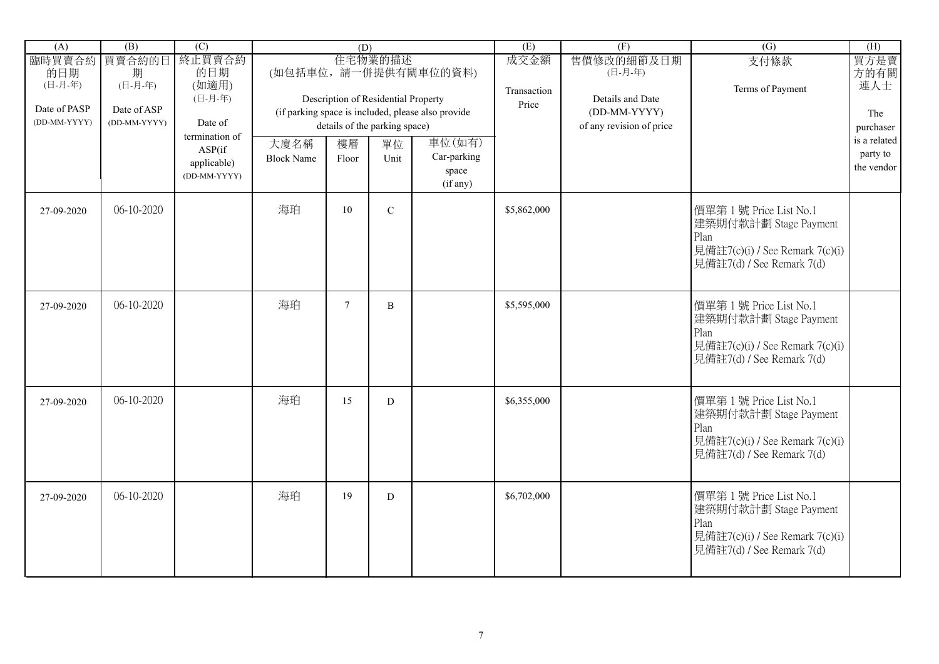| (A)                                                      | (B)                                                   | $\overline{(C)}$                                        |                           | (D)         |                                                                                 |                                                                            | (E)                          | (F)                                                                                   | $\overline{(G)}$                                                                                                       | (H)                                                 |
|----------------------------------------------------------|-------------------------------------------------------|---------------------------------------------------------|---------------------------|-------------|---------------------------------------------------------------------------------|----------------------------------------------------------------------------|------------------------------|---------------------------------------------------------------------------------------|------------------------------------------------------------------------------------------------------------------------|-----------------------------------------------------|
| 臨時買賣合約<br>的日期<br>(日-月-年)<br>Date of PASP<br>(DD-MM-YYYY) | 買賣合約的日<br>期<br>(日-月-年)<br>Date of ASP<br>(DD-MM-YYYY) | 終止買賣合約<br>的日期<br>(如適用)<br>(日-月-年)<br>Date of            |                           |             | 住宅物業的描述<br>Description of Residential Property<br>details of the parking space) | (如包括車位,請一併提供有關車位的資料)<br>(if parking space is included, please also provide | 成交金額<br>Transaction<br>Price | 售價修改的細節及日期<br>(日-月-年)<br>Details and Date<br>(DD-MM-YYYY)<br>of any revision of price | 支付條款<br>Terms of Payment                                                                                               | 買方是賣<br>方的有關<br>連人士<br>The                          |
|                                                          |                                                       | termination of<br>ASP(if<br>applicable)<br>(DD-MM-YYYY) | 大廈名稱<br><b>Block Name</b> | 樓層<br>Floor | 單位<br>Unit                                                                      | 車位(如有)<br>Car-parking<br>space<br>(if any)                                 |                              |                                                                                       |                                                                                                                        | purchaser<br>is a related<br>party to<br>the vendor |
| 27-09-2020                                               | 06-10-2020                                            |                                                         | 海珀                        | 10          | $\mathbf C$                                                                     |                                                                            | \$5,862,000                  |                                                                                       | 價單第1號 Price List No.1<br>建築期付款計劃 Stage Payment<br>Plan<br>見備註7(c)(i) / See Remark 7(c)(i)<br>見備註7(d) / See Remark 7(d) |                                                     |
| 27-09-2020                                               | 06-10-2020                                            |                                                         | 海珀                        | $\tau$      | $\, {\bf B}$                                                                    |                                                                            | \$5,595,000                  |                                                                                       | 價單第1號 Price List No.1<br>建築期付款計劃 Stage Payment<br>Plan<br>見備註7(c)(i) / See Remark 7(c)(i)<br>見備註7(d) / See Remark 7(d) |                                                     |
| 27-09-2020                                               | 06-10-2020                                            |                                                         | 海珀                        | 15          | $\mathbf D$                                                                     |                                                                            | \$6,355,000                  |                                                                                       | 價單第1號 Price List No.1<br>建築期付款計劃 Stage Payment<br>Plan<br>見備註7(c)(i) / See Remark 7(c)(i)<br>見備註7(d) / See Remark 7(d) |                                                     |
| 27-09-2020                                               | 06-10-2020                                            |                                                         | 海珀                        | 19          | ${\bf D}$                                                                       |                                                                            | \$6,702,000                  |                                                                                       | 價單第1號 Price List No.1<br>建築期付款計劃 Stage Payment<br>Plan<br>見備註7(c)(i) / See Remark 7(c)(i)<br>見備註7(d) / See Remark 7(d) |                                                     |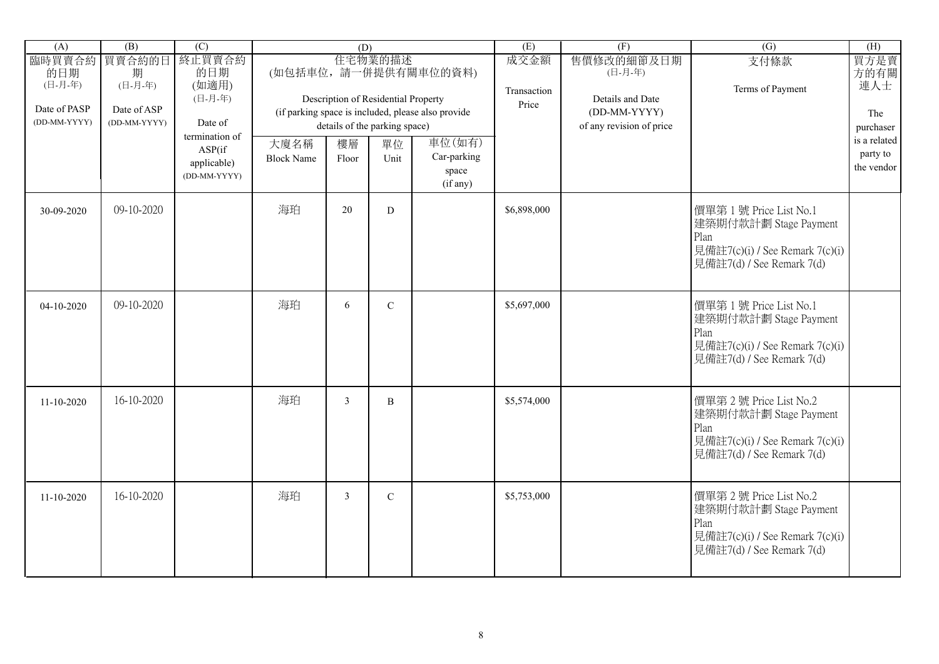| (A)                                                      | (B)                                                   | $\overline{(C)}$                             |                           | (D)            |                                                |                                                                            | (E)                          | (F)                                                       | $\overline{(G)}$                                                                                                       | (H)                        |
|----------------------------------------------------------|-------------------------------------------------------|----------------------------------------------|---------------------------|----------------|------------------------------------------------|----------------------------------------------------------------------------|------------------------------|-----------------------------------------------------------|------------------------------------------------------------------------------------------------------------------------|----------------------------|
| 臨時買賣合約<br>的日期<br>(日-月-年)<br>Date of PASP<br>(DD-MM-YYYY) | 買賣合約的日<br>期<br>(日-月-年)<br>Date of ASP<br>(DD-MM-YYYY) | 終止買賣合約<br>的日期<br>(如適用)<br>(日-月-年)<br>Date of |                           |                | 住宅物業的描述<br>Description of Residential Property | (如包括車位,請一併提供有關車位的資料)<br>(if parking space is included, please also provide | 成交金額<br>Transaction<br>Price | 售價修改的細節及日期<br>(日-月-年)<br>Details and Date<br>(DD-MM-YYYY) | 支付條款<br>Terms of Payment                                                                                               | 買方是賣<br>方的有關<br>連人士<br>The |
|                                                          |                                                       | termination of                               |                           |                | details of the parking space)                  | 車位(如有)                                                                     |                              | of any revision of price                                  |                                                                                                                        | purchaser<br>is a related  |
|                                                          |                                                       | ASP(if<br>applicable)<br>(DD-MM-YYYY)        | 大廈名稱<br><b>Block Name</b> | 樓層<br>Floor    | 單位<br>Unit                                     | Car-parking<br>space<br>(if any)                                           |                              |                                                           |                                                                                                                        | party to<br>the vendor     |
| 30-09-2020                                               | 09-10-2020                                            |                                              | 海珀                        | 20             | D                                              |                                                                            | \$6,898,000                  |                                                           | 價單第1號 Price List No.1<br>建築期付款計劃 Stage Payment<br>Plan<br>見備註7(c)(i) / See Remark 7(c)(i)<br>見備註7(d) / See Remark 7(d) |                            |
| 04-10-2020                                               | 09-10-2020                                            |                                              | 海珀                        | 6              | $\mathbf C$                                    |                                                                            | \$5,697,000                  |                                                           | 價單第1號 Price List No.1<br>建築期付款計劃 Stage Payment<br>Plan<br>見備註7(c)(i) / See Remark 7(c)(i)<br>見備註7(d) / See Remark 7(d) |                            |
| $11 - 10 - 2020$                                         | 16-10-2020                                            |                                              | 海珀                        | $\mathfrak{Z}$ | $\, {\bf B}$                                   |                                                                            | \$5,574,000                  |                                                           | 價單第2號 Price List No.2<br>建築期付款計劃 Stage Payment<br>Plan<br>見備註7(c)(i) / See Remark 7(c)(i)<br>見備註7(d) / See Remark 7(d) |                            |
| $11 - 10 - 2020$                                         | 16-10-2020                                            |                                              | 海珀                        | $\mathfrak{Z}$ | $\mathbf C$                                    |                                                                            | \$5,753,000                  |                                                           | 價單第2號 Price List No.2<br>建築期付款計劃 Stage Payment<br>Plan<br>見備註7(c)(i) / See Remark 7(c)(i)<br>見備註7(d) / See Remark 7(d) |                            |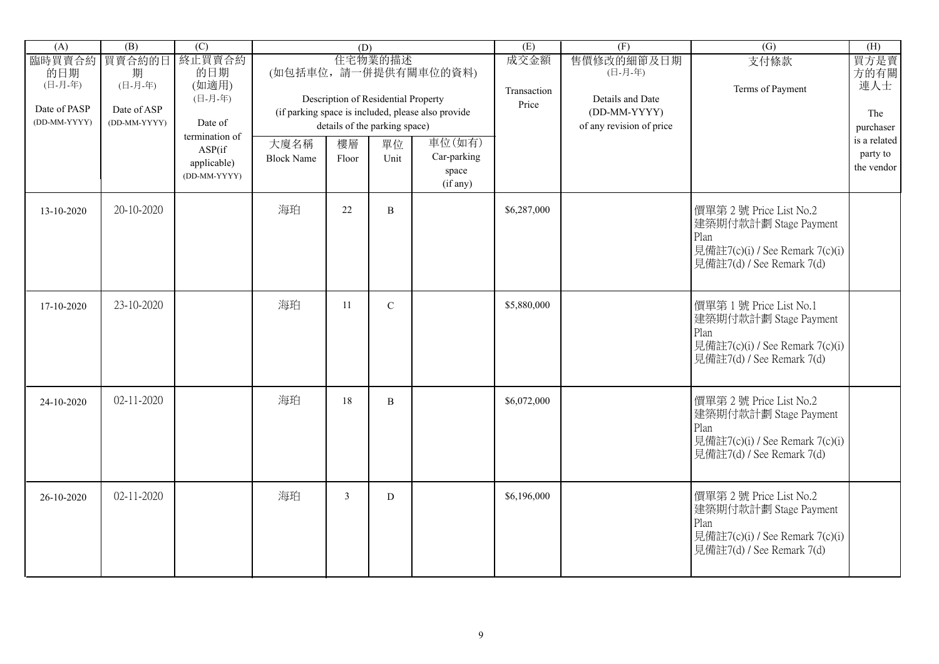| (A)                                                      | (B)                                                   | $\overline{(C)}$                                               |                           | (D)            |                                                                                 |                                                                            | (E)                          | (F)                                                                                   | $\overline{(G)}$                                                                                                       | (H)                                     |
|----------------------------------------------------------|-------------------------------------------------------|----------------------------------------------------------------|---------------------------|----------------|---------------------------------------------------------------------------------|----------------------------------------------------------------------------|------------------------------|---------------------------------------------------------------------------------------|------------------------------------------------------------------------------------------------------------------------|-----------------------------------------|
| 臨時買賣合約<br>的日期<br>(日-月-年)<br>Date of PASP<br>(DD-MM-YYYY) | 買賣合約的日<br>期<br>(日-月-年)<br>Date of ASP<br>(DD-MM-YYYY) | 終止買賣合約<br>的日期<br>(如適用)<br>(日-月-年)<br>Date of<br>termination of |                           |                | 住宅物業的描述<br>Description of Residential Property<br>details of the parking space) | (如包括車位,請一併提供有關車位的資料)<br>(if parking space is included, please also provide | 成交金額<br>Transaction<br>Price | 售價修改的細節及日期<br>(日-月-年)<br>Details and Date<br>(DD-MM-YYYY)<br>of any revision of price | 支付條款<br>Terms of Payment                                                                                               | 買方是賣<br>方的有關<br>連人士<br>The<br>purchaser |
|                                                          |                                                       | ASP(if<br>applicable)<br>(DD-MM-YYYY)                          | 大廈名稱<br><b>Block Name</b> | 樓層<br>Floor    | 單位<br>Unit                                                                      | 車位(如有)<br>Car-parking<br>space<br>(if any)                                 |                              |                                                                                       |                                                                                                                        | is a related<br>party to<br>the vendor  |
| 13-10-2020                                               | 20-10-2020                                            |                                                                | 海珀                        | 22             | $\, {\bf B}$                                                                    |                                                                            | \$6,287,000                  |                                                                                       | 價單第2號 Price List No.2<br>建築期付款計劃 Stage Payment<br>Plan<br>見備註7(c)(i) / See Remark 7(c)(i)<br>見備註7(d) / See Remark 7(d) |                                         |
| 17-10-2020                                               | 23-10-2020                                            |                                                                | 海珀                        | 11             | $\mathbf C$                                                                     |                                                                            | \$5,880,000                  |                                                                                       | 價單第1號 Price List No.1<br>建築期付款計劃 Stage Payment<br>Plan<br>見備註7(c)(i) / See Remark 7(c)(i)<br>見備註7(d) / See Remark 7(d) |                                         |
| 24-10-2020                                               | $02 - 11 - 2020$                                      |                                                                | 海珀                        | 18             | $\, {\bf B}$                                                                    |                                                                            | \$6,072,000                  |                                                                                       | 價單第2號 Price List No.2<br>建築期付款計劃 Stage Payment<br>Plan<br>見備註7(c)(i) / See Remark 7(c)(i)<br>見備註7(d) / See Remark 7(d) |                                         |
| 26-10-2020                                               | $02 - 11 - 2020$                                      |                                                                | 海珀                        | $\mathfrak{Z}$ | ${\bf D}$                                                                       |                                                                            | \$6,196,000                  |                                                                                       | 價單第2號 Price List No.2<br>建築期付款計劃 Stage Payment<br>Plan<br>見備註7(c)(i) / See Remark 7(c)(i)<br>見備註7(d) / See Remark 7(d) |                                         |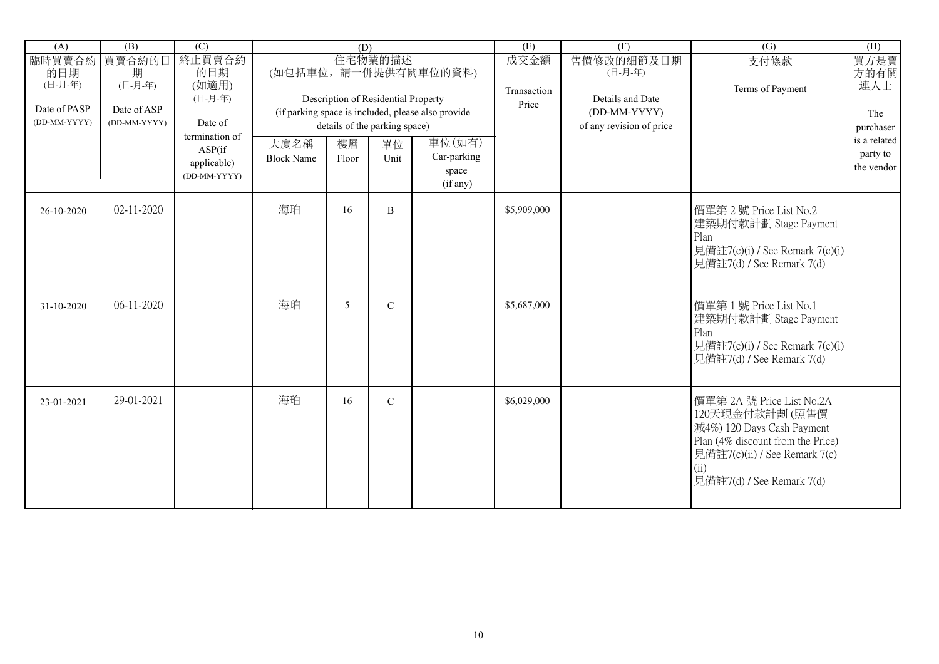| (A)                          | $\overline{(B)}$            | (C)                                                     |                           | (D)         |                                                                      |                                                    | (E)                  | (F)                                                          | (G)                                                                                                                                                                                 | (H)                                    |
|------------------------------|-----------------------------|---------------------------------------------------------|---------------------------|-------------|----------------------------------------------------------------------|----------------------------------------------------|----------------------|--------------------------------------------------------------|-------------------------------------------------------------------------------------------------------------------------------------------------------------------------------------|----------------------------------------|
| 臨時買賣合約<br>的日期<br>(日-月-年)     | 買賣合約的日<br>期<br>(日-月-年)      | 終止買賣合約<br>的日期<br>(如適用)                                  |                           |             | 住宅物業的描述                                                              | (如包括車位,請一併提供有關車位的資料)                               | 成交金額                 | 售價修改的細節及日期<br>(日-月-年)                                        | 支付條款                                                                                                                                                                                | 買方是賣<br>方的有關                           |
| Date of PASP<br>(DD-MM-YYYY) | Date of ASP<br>(DD-MM-YYYY) | (日-月-年)<br>Date of                                      |                           |             | Description of Residential Property<br>details of the parking space) | (if parking space is included, please also provide | Transaction<br>Price | Details and Date<br>(DD-MM-YYYY)<br>of any revision of price | Terms of Payment                                                                                                                                                                    | 連人士<br>The<br>purchaser                |
|                              |                             | termination of<br>ASP(if<br>applicable)<br>(DD-MM-YYYY) | 大廈名稱<br><b>Block Name</b> | 樓層<br>Floor | 單位<br>Unit                                                           | 車位(如有)<br>Car-parking<br>space<br>(if any)         |                      |                                                              |                                                                                                                                                                                     | is a related<br>party to<br>the vendor |
| 26-10-2020                   | $02 - 11 - 2020$            |                                                         | 海珀                        | 16          | B                                                                    |                                                    | \$5,909,000          |                                                              | 價單第2號 Price List No.2<br>建築期付款計劃 Stage Payment<br>Plan<br>見備註7(c)(i) / See Remark 7(c)(i)<br>見備註7(d) / See Remark 7(d)                                                              |                                        |
| 31-10-2020                   | $06-11-2020$                |                                                         | 海珀                        | 5           | $\mathbf C$                                                          |                                                    | \$5,687,000          |                                                              | 價單第1號 Price List No.1<br>建築期付款計劃 Stage Payment<br>Plan<br>見備註7(c)(i) / See Remark 7(c)(i)<br>見備註7(d) / See Remark 7(d)                                                              |                                        |
| 23-01-2021                   | 29-01-2021                  |                                                         | 海珀                        | 16          | $\mathbf C$                                                          |                                                    | \$6,029,000          |                                                              | 價單第 2A 號 Price List No.2A<br>120天現金付款計劃(照售價<br>減4%) 120 Days Cash Payment<br>Plan (4% discount from the Price)<br>見備註7(c)(ii) / See Remark 7(c)<br>(i)<br>見備註7(d) / See Remark 7(d) |                                        |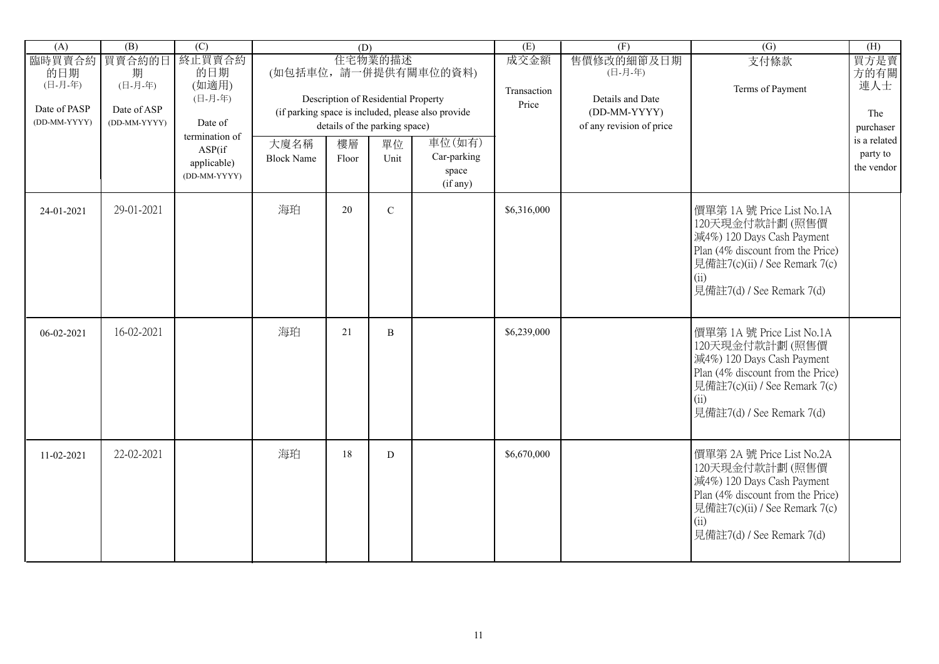| (A)                          | (B)                         | $\overline{(C)}$                                         |                           | (D)         |                                                |                                                    | (E)                 | (F)                                       | $\overline{(G)}$                                                                                                                                                                     | (H)                                    |
|------------------------------|-----------------------------|----------------------------------------------------------|---------------------------|-------------|------------------------------------------------|----------------------------------------------------|---------------------|-------------------------------------------|--------------------------------------------------------------------------------------------------------------------------------------------------------------------------------------|----------------------------------------|
| 臨時買賣合約<br>的日期<br>(日-月-年)     | 買賣合約的日<br>期<br>(日-月-年)      | 終止買賣合約<br>的日期<br>(如適用)<br>(日-月-年)                        |                           |             | 住宅物業的描述<br>Description of Residential Property | (如包括車位,請一併提供有關車位的資料)                               | 成交金額<br>Transaction | 售價修改的細節及日期<br>(日-月-年)<br>Details and Date | 支付條款<br>Terms of Payment                                                                                                                                                             | 買方是賣<br>方的有關<br>連人士                    |
| Date of PASP<br>(DD-MM-YYYY) | Date of ASP<br>(DD-MM-YYYY) | Date of                                                  |                           |             | details of the parking space)                  | (if parking space is included, please also provide | Price               | (DD-MM-YYYY)<br>of any revision of price  |                                                                                                                                                                                      | The<br>purchaser                       |
|                              |                             | termination of<br>ASP(if)<br>applicable)<br>(DD-MM-YYYY) | 大廈名稱<br><b>Block Name</b> | 樓層<br>Floor | 單位<br>Unit                                     | 車位(如有)<br>Car-parking<br>space<br>(if any)         |                     |                                           |                                                                                                                                                                                      | is a related<br>party to<br>the vendor |
| 24-01-2021                   | 29-01-2021                  |                                                          | 海珀                        | 20          | $\overline{C}$                                 |                                                    | \$6,316,000         |                                           | 價單第 1A 號 Price List No.1A<br>120天現金付款計劃(照售價<br>減4%) 120 Days Cash Payment<br>Plan (4% discount from the Price)<br>見備註7(c)(ii) / See Remark 7(c)<br>(ii)<br>見備註7(d) / See Remark 7(d) |                                        |
| 06-02-2021                   | 16-02-2021                  |                                                          | 海珀                        | 21          | B                                              |                                                    | \$6,239,000         |                                           | 價單第 1A 號 Price List No.1A<br>120天現金付款計劃(照售價<br>減4%) 120 Days Cash Payment<br>Plan (4% discount from the Price)<br>見備註7(c)(ii) / See Remark 7(c)<br>(ii)<br>見備註7(d) / See Remark 7(d) |                                        |
| 11-02-2021                   | 22-02-2021                  |                                                          | 海珀                        | 18          | $\mathbf D$                                    |                                                    | \$6,670,000         |                                           | 價單第 2A 號 Price List No.2A<br>120天現金付款計劃(照售價<br>減4%) 120 Days Cash Payment<br>Plan (4% discount from the Price)<br>見備註7(c)(ii) / See Remark 7(c)<br>(ii)<br>見備註7(d) / See Remark 7(d) |                                        |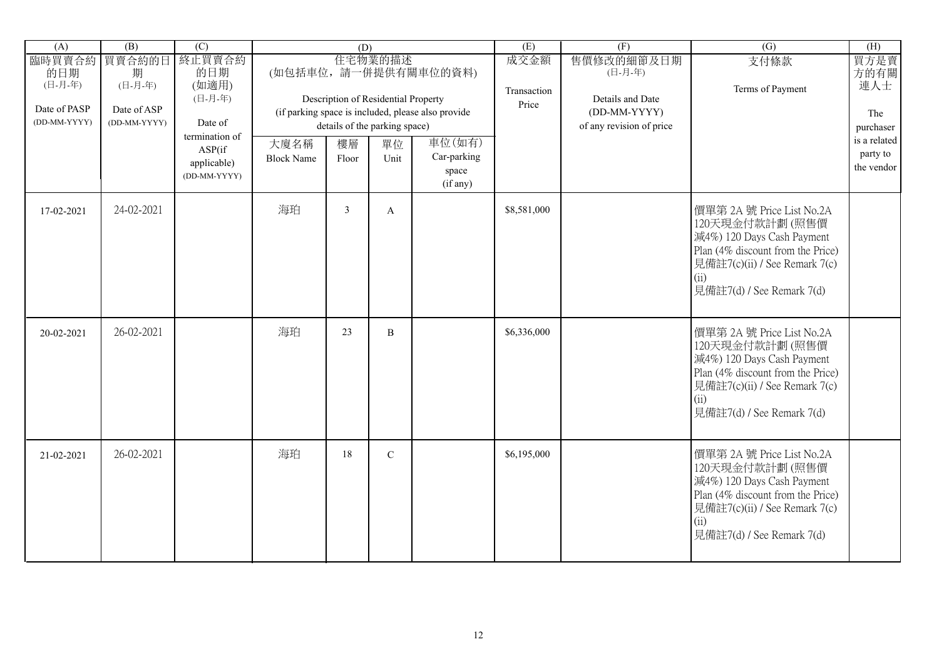| (A)                          | (B)                         | $\overline{(C)}$                  |                   | (D)            |                                                |                                                    | (E)                          | (F)                                       | $\overline{(G)}$                                                                                                                                                                     | (H)                       |
|------------------------------|-----------------------------|-----------------------------------|-------------------|----------------|------------------------------------------------|----------------------------------------------------|------------------------------|-------------------------------------------|--------------------------------------------------------------------------------------------------------------------------------------------------------------------------------------|---------------------------|
| 臨時買賣合約<br>的日期<br>(日-月-年)     | 買賣合約的日<br>期<br>(日-月-年)      | 終止買賣合約<br>的日期<br>(如適用)<br>(日-月-年) |                   |                | 住宅物業的描述<br>Description of Residential Property | (如包括車位,請一併提供有關車位的資料)                               | 成交金額<br>Transaction<br>Price | 售價修改的細節及日期<br>(日-月-年)<br>Details and Date | 支付條款<br>Terms of Payment                                                                                                                                                             | 買方是賣<br>方的有關<br>連人士       |
| Date of PASP<br>(DD-MM-YYYY) | Date of ASP<br>(DD-MM-YYYY) | Date of                           |                   |                | details of the parking space)                  | (if parking space is included, please also provide |                              | (DD-MM-YYYY)<br>of any revision of price  |                                                                                                                                                                                      | The                       |
|                              |                             | termination of                    | 大廈名稱              | 樓層             | 單位                                             | 車位(如有)                                             |                              |                                           |                                                                                                                                                                                      | purchaser<br>is a related |
|                              |                             | ASP(if)<br>applicable)            | <b>Block Name</b> | Floor          | Unit                                           | Car-parking                                        |                              |                                           |                                                                                                                                                                                      | party to                  |
|                              |                             | (DD-MM-YYYY)                      |                   |                |                                                | space<br>(if any)                                  |                              |                                           |                                                                                                                                                                                      | the vendor                |
| 17-02-2021                   | 24-02-2021                  |                                   | 海珀                | $\overline{3}$ | $\mathbf{A}$                                   |                                                    | \$8,581,000                  |                                           | 價單第 2A 號 Price List No.2A<br>120天現金付款計劃(照售價<br>減4%) 120 Days Cash Payment<br>Plan (4% discount from the Price)<br>見備註7(c)(ii) / See Remark 7(c)<br>(ii)<br>見備註7(d) / See Remark 7(d) |                           |
| 20-02-2021                   | 26-02-2021                  |                                   | 海珀                | 23             | B                                              |                                                    | \$6,336,000                  |                                           | 價單第 2A 號 Price List No.2A<br>120天現金付款計劃(照售價<br>減4%) 120 Days Cash Payment<br>Plan (4% discount from the Price)<br>見備註7(c)(ii) / See Remark 7(c)<br>(ii)<br>見備註7(d) / See Remark 7(d) |                           |
| 21-02-2021                   | 26-02-2021                  |                                   | 海珀                | 18             | $\mathbf C$                                    |                                                    | \$6,195,000                  |                                           | 價單第 2A 號 Price List No.2A<br>120天現金付款計劃(照售價<br>減4%) 120 Days Cash Payment<br>Plan (4% discount from the Price)<br>見備註7(c)(ii) / See Remark 7(c)<br>(ii)<br>見備註7(d) / See Remark 7(d) |                           |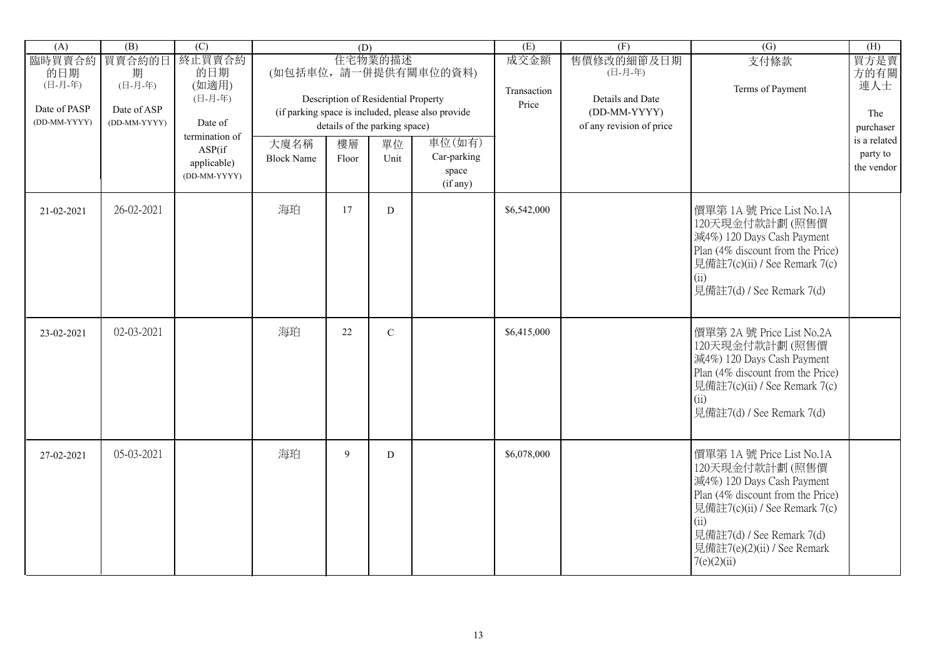| (A)                          | (B)                         | $\overline{(C)}$                  |                   | (D)   |                                                |                                                    | (E)                          | (F)                                       | $\overline{(G)}$                                                                                                                                                                                                                   | (H)                      |
|------------------------------|-----------------------------|-----------------------------------|-------------------|-------|------------------------------------------------|----------------------------------------------------|------------------------------|-------------------------------------------|------------------------------------------------------------------------------------------------------------------------------------------------------------------------------------------------------------------------------------|--------------------------|
| 臨時買賣合約<br>的日期<br>(日-月-年)     | 買賣合約的日<br>期<br>(日-月-年)      | 終止買賣合約<br>的日期<br>(如適用)<br>(日-月-年) |                   |       | 住宅物業的描述<br>Description of Residential Property | (如包括車位,請一併提供有關車位的資料)                               | 成交金額<br>Transaction<br>Price | 售價修改的細節及日期<br>(日-月-年)<br>Details and Date | 支付條款<br>Terms of Payment                                                                                                                                                                                                           | 買方是賣<br>方的有關<br>連人士      |
| Date of PASP<br>(DD-MM-YYYY) | Date of ASP<br>(DD-MM-YYYY) | Date of                           |                   |       | details of the parking space)                  | (if parking space is included, please also provide |                              | (DD-MM-YYYY)<br>of any revision of price  |                                                                                                                                                                                                                                    | The<br>purchaser         |
|                              |                             | termination of<br>ASP(if          | 大廈名稱              | 樓層    | 單位                                             | 車位(如有)                                             |                              |                                           |                                                                                                                                                                                                                                    | is a related<br>party to |
|                              |                             | applicable)<br>(DD-MM-YYYY)       | <b>Block Name</b> | Floor | Unit                                           | Car-parking<br>space<br>(if any)                   |                              |                                           |                                                                                                                                                                                                                                    | the vendor               |
| 21-02-2021                   | 26-02-2021                  |                                   | 海珀                | 17    | D                                              |                                                    | \$6,542,000                  |                                           | 價單第 1A 號 Price List No.1A<br>120天現金付款計劃(照售價<br>減4%) 120 Days Cash Payment<br>Plan (4% discount from the Price)<br>見備註7(c)(ii) / See Remark 7(c)<br>(ii)<br>見備註7(d) / See Remark 7(d)                                               |                          |
| 23-02-2021                   | 02-03-2021                  |                                   | 海珀                | 22    | $\mathbf C$                                    |                                                    | \$6,415,000                  |                                           | 價單第 2A 號 Price List No.2A<br>120天現金付款計劃(照售價<br>減4%) 120 Days Cash Payment<br>Plan (4% discount from the Price)<br>見備註7(c)(ii) / See Remark 7(c)<br>(ii)<br>見備註7(d) / See Remark 7(d)                                               |                          |
| 27-02-2021                   | 05-03-2021                  |                                   | 海珀                | 9     | D                                              |                                                    | \$6,078,000                  |                                           | 價單第 1A 號 Price List No.1A<br>120天現金付款計劃(照售價<br>減4%) 120 Days Cash Payment<br>Plan (4% discount from the Price)<br>見備註7(c)(ii) / See Remark 7(c)<br>(ii)<br>見備註7(d) / See Remark 7(d)<br>見備註7(e)(2)(ii) / See Remark<br>7(e)(2)(ii) |                          |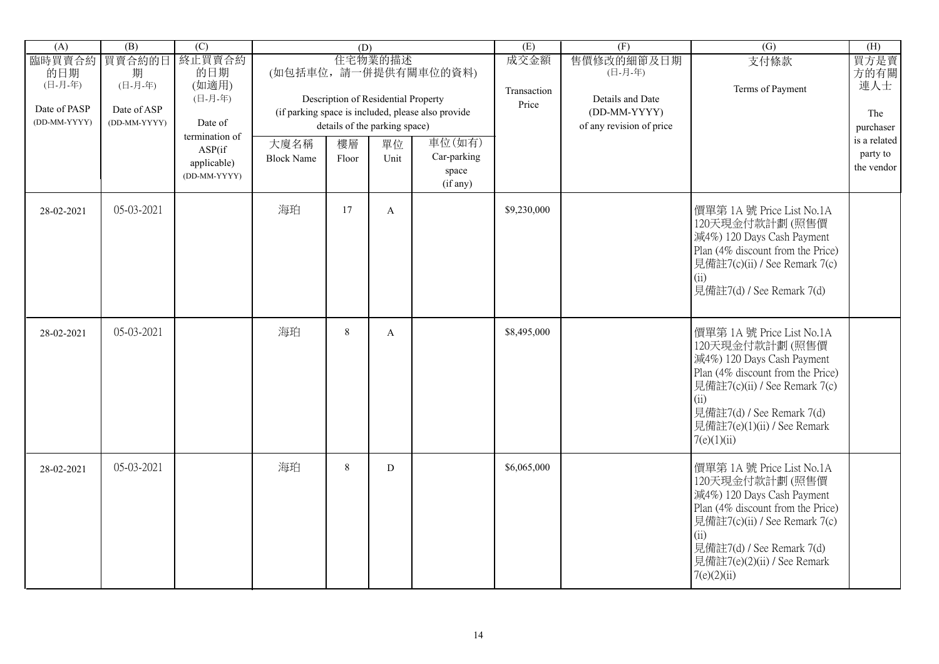| $\overline{(A)}$                         | $\overline{(B)}$            | $\overline{C}$                                           |                           | (D)         |                                                |                                                    | (E)                          | (F)                                       | $\overline{(G)}$                                                                                                                                                                                                                   | (H)                                    |
|------------------------------------------|-----------------------------|----------------------------------------------------------|---------------------------|-------------|------------------------------------------------|----------------------------------------------------|------------------------------|-------------------------------------------|------------------------------------------------------------------------------------------------------------------------------------------------------------------------------------------------------------------------------------|----------------------------------------|
| 臨時買賣合約<br>的日期<br>(日-月-年)<br>Date of PASP | 買賣合約的日<br>期<br>(日-月-年)      | 終止買賣合約<br>的日期<br>(如適用)<br>(日-月-年)                        |                           |             | 住宅物業的描述<br>Description of Residential Property | (如包括車位,請一併提供有關車位的資料)                               | 成交金額<br>Transaction<br>Price | 售價修改的細節及日期<br>(日-月-年)<br>Details and Date | 支付條款<br>Terms of Payment                                                                                                                                                                                                           | 買方是賣<br>方的有關<br>連人士                    |
| (DD-MM-YYYY)                             | Date of ASP<br>(DD-MM-YYYY) | Date of                                                  |                           |             | details of the parking space)                  | (if parking space is included, please also provide |                              | (DD-MM-YYYY)<br>of any revision of price  |                                                                                                                                                                                                                                    | The<br>purchaser                       |
|                                          |                             | termination of<br>ASP(if)<br>applicable)<br>(DD-MM-YYYY) | 大廈名稱<br><b>Block Name</b> | 樓層<br>Floor | 單位<br>Unit                                     | 車位(如有)<br>Car-parking<br>space<br>(if any)         |                              |                                           |                                                                                                                                                                                                                                    | is a related<br>party to<br>the vendor |
| 28-02-2021                               | 05-03-2021                  |                                                          | 海珀                        | 17          | $\mathbf{A}$                                   |                                                    | \$9,230,000                  |                                           | 價單第 1A 號 Price List No.1A<br>120天現金付款計劃(照售價<br>減4%) 120 Days Cash Payment<br>Plan (4% discount from the Price)<br>見備註7(c)(ii) / See Remark 7(c)<br>(ii)<br>見備註7(d) / See Remark 7(d)                                               |                                        |
| 28-02-2021                               | 05-03-2021                  |                                                          | 海珀                        | $\,8\,$     | $\mathbf{A}$                                   |                                                    | \$8,495,000                  |                                           | 價單第 1A 號 Price List No.1A<br>120天現金付款計劃(照售價<br>減4%) 120 Days Cash Payment<br>Plan (4% discount from the Price)<br>見備註7(c)(ii) / See Remark 7(c)<br>(ii)<br>見備註7(d) / See Remark 7(d)<br>見備註7(e)(1)(ii) / See Remark<br>7(e)(1)(ii) |                                        |
| 28-02-2021                               | 05-03-2021                  |                                                          | 海珀                        | 8           | D                                              |                                                    | \$6,065,000                  |                                           | 價單第 1A 號 Price List No.1A<br>120天現金付款計劃(照售價<br>減4%) 120 Days Cash Payment<br>Plan (4% discount from the Price)<br>見備註7(c)(ii) / See Remark 7(c)<br>(ii)<br>見備註7(d) / See Remark 7(d)<br>見備註7(e)(2)(ii) / See Remark<br>7(e)(2)(ii) |                                        |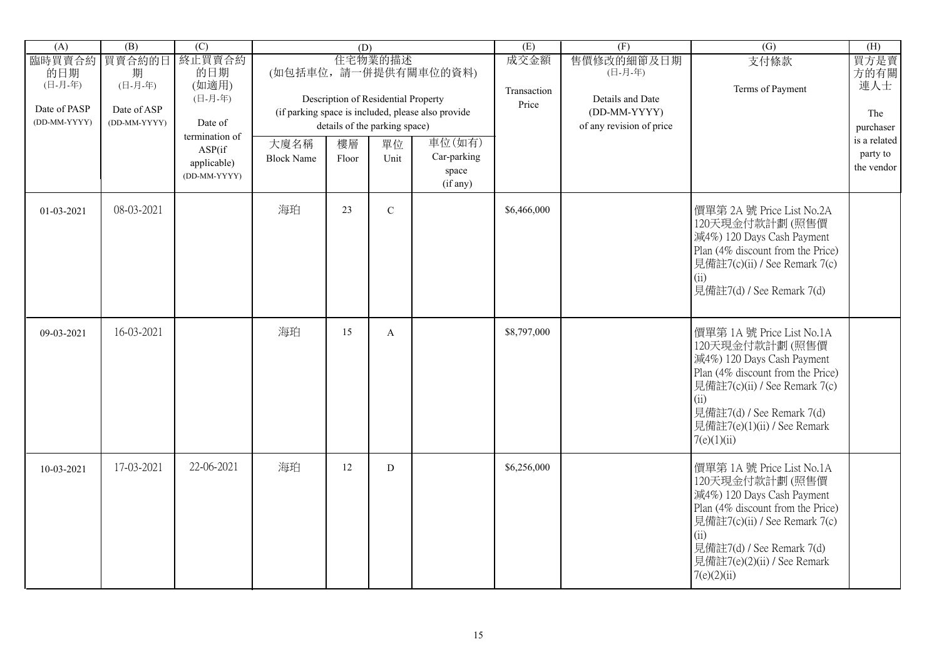| (A)                          | $\overline{(B)}$            | (C)                    |                   | (D)   |                                     |                                                    | (E)                  | (F)                                      | $\overline{(G)}$                                                                                                                                                                                                                   | (H)                       |
|------------------------------|-----------------------------|------------------------|-------------------|-------|-------------------------------------|----------------------------------------------------|----------------------|------------------------------------------|------------------------------------------------------------------------------------------------------------------------------------------------------------------------------------------------------------------------------------|---------------------------|
| 臨時買賣合約<br>的日期<br>(日-月-年)     | 買賣合約的日<br>期<br>(日-月-年)      | 終止買賣合約<br>的日期<br>(如適用) |                   |       | 住宅物業的描述                             | (如包括車位,請一併提供有關車位的資料)                               | 成交金額                 | 售價修改的細節及日期<br>(日-月-年)                    | 支付條款                                                                                                                                                                                                                               | 買方是賣<br>方的有關<br>連人士       |
|                              |                             | (日-月-年)                |                   |       | Description of Residential Property |                                                    | Transaction<br>Price | Details and Date                         | Terms of Payment                                                                                                                                                                                                                   |                           |
| Date of PASP<br>(DD-MM-YYYY) | Date of ASP<br>(DD-MM-YYYY) | Date of                |                   |       | details of the parking space)       | (if parking space is included, please also provide |                      | (DD-MM-YYYY)<br>of any revision of price |                                                                                                                                                                                                                                    | The                       |
|                              |                             | termination of         | 大廈名稱              | 樓層    | 單位                                  | 車位(如有)                                             |                      |                                          |                                                                                                                                                                                                                                    | purchaser<br>is a related |
|                              |                             | ASP(if<br>applicable)  | <b>Block Name</b> | Floor | Unit                                | Car-parking                                        |                      |                                          |                                                                                                                                                                                                                                    | party to                  |
|                              |                             | (DD-MM-YYYY)           |                   |       |                                     | space<br>(if any)                                  |                      |                                          |                                                                                                                                                                                                                                    | the vendor                |
| 01-03-2021                   | 08-03-2021                  |                        | 海珀                | 23    | $\mathbf C$                         |                                                    | \$6,466,000          |                                          | 價單第 2A 號 Price List No.2A<br>120天現金付款計劃(照售價<br>減4%) 120 Days Cash Payment<br>Plan (4% discount from the Price)<br>見備註7(c)(ii) / See Remark 7(c)<br>(ii)<br>見備註7(d) / See Remark 7(d)                                               |                           |
| 09-03-2021                   | 16-03-2021                  |                        | 海珀                | 15    | A                                   |                                                    | \$8,797,000          |                                          | 價單第 1A 號 Price List No.1A<br>120天現金付款計劃(照售價<br>減4%) 120 Days Cash Payment<br>Plan (4% discount from the Price)<br>見備註7(c)(ii) / See Remark 7(c)<br>(ii)<br>見備註7(d) / See Remark 7(d)<br>見備註7(e)(1)(ii) / See Remark<br>7(e)(1)(ii) |                           |
| 10-03-2021                   | 17-03-2021                  | 22-06-2021             | 海珀                | 12    | D                                   |                                                    | \$6,256,000          |                                          | 價單第 1A 號 Price List No.1A<br>120天現金付款計劃(照售價<br>減4%) 120 Days Cash Payment<br>Plan (4% discount from the Price)<br>見備註7(c)(ii) / See Remark 7(c)<br>(ii)<br>見備註7(d) / See Remark 7(d)<br>見備註7(e)(2)(ii) / See Remark<br>7(e)(2)(ii) |                           |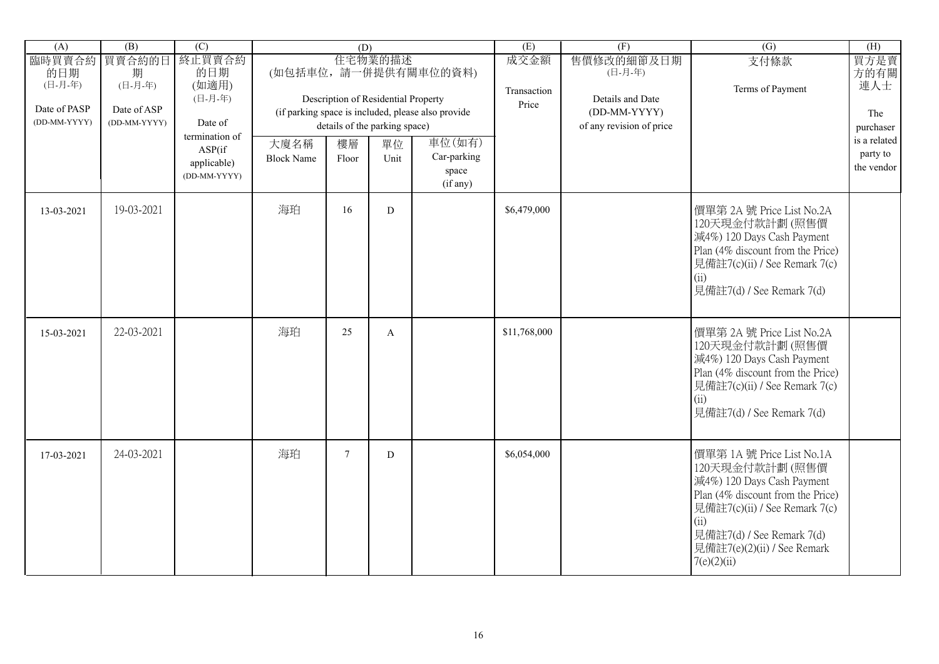| (A)                          | (B)                         | $\overline{(C)}$                                        |                           | (D)         |                                                |                                                    | (E)                 | (F)                                       | $\overline{(G)}$                                                                                                                                                                                                                   | (H)                                    |
|------------------------------|-----------------------------|---------------------------------------------------------|---------------------------|-------------|------------------------------------------------|----------------------------------------------------|---------------------|-------------------------------------------|------------------------------------------------------------------------------------------------------------------------------------------------------------------------------------------------------------------------------------|----------------------------------------|
| 臨時買賣合約<br>的日期<br>(日-月-年)     | 買賣合約的日<br>期<br>(日-月-年)      | 終止買賣合約<br>的日期<br>(如適用)<br>(日-月-年)                       |                           |             | 住宅物業的描述<br>Description of Residential Property | (如包括車位,請一併提供有關車位的資料)                               | 成交金額<br>Transaction | 售價修改的細節及日期<br>(日-月-年)<br>Details and Date | 支付條款<br>Terms of Payment                                                                                                                                                                                                           | 買方是賣<br>方的有關<br>連人士                    |
| Date of PASP<br>(DD-MM-YYYY) | Date of ASP<br>(DD-MM-YYYY) | Date of                                                 |                           |             | details of the parking space)                  | (if parking space is included, please also provide | Price               | (DD-MM-YYYY)<br>of any revision of price  |                                                                                                                                                                                                                                    | The<br>purchaser                       |
|                              |                             | termination of<br>ASP(if<br>applicable)<br>(DD-MM-YYYY) | 大廈名稱<br><b>Block Name</b> | 樓層<br>Floor | 單位<br>Unit                                     | 車位(如有)<br>Car-parking<br>space<br>(if any)         |                     |                                           |                                                                                                                                                                                                                                    | is a related<br>party to<br>the vendor |
| 13-03-2021                   | 19-03-2021                  |                                                         | 海珀                        | 16          | D                                              |                                                    | \$6,479,000         |                                           | 價單第 2A 號 Price List No.2A<br>120天現金付款計劃(照售價<br>減4%) 120 Days Cash Payment<br>Plan (4% discount from the Price)<br>見備註7(c)(ii) / See Remark 7(c)<br>(ii)<br>見備註7(d) / See Remark 7(d)                                               |                                        |
| 15-03-2021                   | 22-03-2021                  |                                                         | 海珀                        | 25          | A                                              |                                                    | \$11,768,000        |                                           | 價單第 2A 號 Price List No.2A<br>120天現金付款計劃(照售價<br>減4%) 120 Days Cash Payment<br>Plan (4% discount from the Price)<br>見備註7(c)(ii) / See Remark 7(c)<br>(ii)<br>見備註7(d) / See Remark 7(d)                                               |                                        |
| 17-03-2021                   | 24-03-2021                  |                                                         | 海珀                        | $\tau$      | D                                              |                                                    | \$6,054,000         |                                           | 價單第 1A 號 Price List No.1A<br>120天現金付款計劃(照售價<br>減4%) 120 Days Cash Payment<br>Plan (4% discount from the Price)<br>見備註7(c)(ii) / See Remark 7(c)<br>(ii)<br>見備註7(d) / See Remark 7(d)<br>見備註7(e)(2)(ii) / See Remark<br>7(e)(2)(ii) |                                        |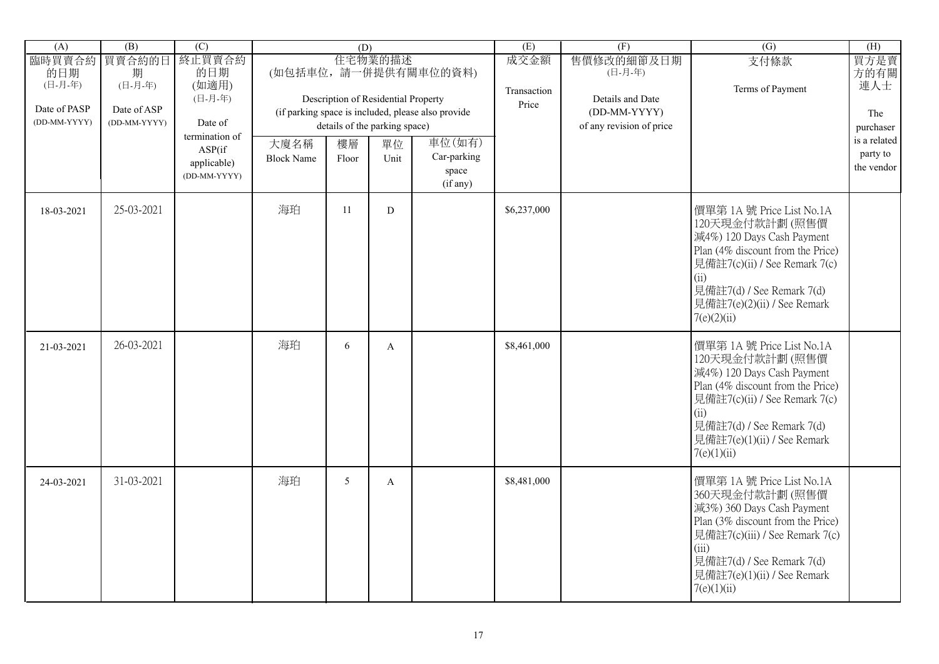| (A)                                                      | (B)                                                   | $\overline{C}$                                                                                          |                           | (D)             |                                                                                               |                                                                                                                          | (E)                          | (F)                                                                                   | $\overline{(G)}$                                                                                                                                                                                                                     | (H)                                                                               |
|----------------------------------------------------------|-------------------------------------------------------|---------------------------------------------------------------------------------------------------------|---------------------------|-----------------|-----------------------------------------------------------------------------------------------|--------------------------------------------------------------------------------------------------------------------------|------------------------------|---------------------------------------------------------------------------------------|--------------------------------------------------------------------------------------------------------------------------------------------------------------------------------------------------------------------------------------|-----------------------------------------------------------------------------------|
| 臨時買賣合約<br>的日期<br>(日-月-年)<br>Date of PASP<br>(DD-MM-YYYY) | 買賣合約的日<br>期<br>(日-月-年)<br>Date of ASP<br>(DD-MM-YYYY) | 終止買賣合約<br>的日期<br>(如適用)<br>(日-月-年)<br>Date of<br>termination of<br>ASP(if<br>applicable)<br>(DD-MM-YYYY) | 大廈名稱<br><b>Block Name</b> | 樓層<br>Floor     | 住宅物業的描述<br>Description of Residential Property<br>details of the parking space)<br>單位<br>Unit | (如包括車位,請一併提供有關車位的資料)<br>(if parking space is included, please also provide<br>車位(如有)<br>Car-parking<br>space<br>(if any) | 成交金額<br>Transaction<br>Price | 售價修改的細節及日期<br>(日-月-年)<br>Details and Date<br>(DD-MM-YYYY)<br>of any revision of price | 支付條款<br>Terms of Payment                                                                                                                                                                                                             | 買方是賣<br>方的有關<br>連人士<br>The<br>purchaser<br>is a related<br>party to<br>the vendor |
| 18-03-2021                                               | 25-03-2021                                            |                                                                                                         | 海珀                        | 11              | D                                                                                             |                                                                                                                          | \$6,237,000                  |                                                                                       | 價單第 1A 號 Price List No.1A<br>120天現金付款計劃(照售價<br>減4%) 120 Days Cash Payment<br>Plan (4% discount from the Price)<br>見備註7(c)(ii) / See Remark 7(c)<br>(ii)<br>見備註7(d) / See Remark 7(d)<br>見備註7(e)(2)(ii) / See Remark<br>7(e)(2)(ii)   |                                                                                   |
| 21-03-2021                                               | 26-03-2021                                            |                                                                                                         | 海珀                        | 6               | $\mathbf{A}$                                                                                  |                                                                                                                          | \$8,461,000                  |                                                                                       | 價單第 1A 號 Price List No.1A<br>120天現金付款計劃(照售價<br>減4%) 120 Days Cash Payment<br>Plan (4% discount from the Price)<br>見備註7(c)(ii) / See Remark 7(c)<br>(ii)<br>見備註7(d) / See Remark 7(d)<br>見備註7(e)(1)(ii) / See Remark<br>7(e)(1)(ii)   |                                                                                   |
| 24-03-2021                                               | 31-03-2021                                            |                                                                                                         | 海珀                        | $5\overline{)}$ | $\mathbf{A}$                                                                                  |                                                                                                                          | \$8,481,000                  |                                                                                       | 價單第 1A 號 Price List No.1A<br>360天現金付款計劃(照售價<br>減3%) 360 Days Cash Payment<br>Plan (3% discount from the Price)<br>見備註7(c)(iii) / See Remark 7(c)<br>(iii)<br>見備註7(d) / See Remark 7(d)<br>見備註7(e)(1)(ii) / See Remark<br>7(e)(1)(ii) |                                                                                   |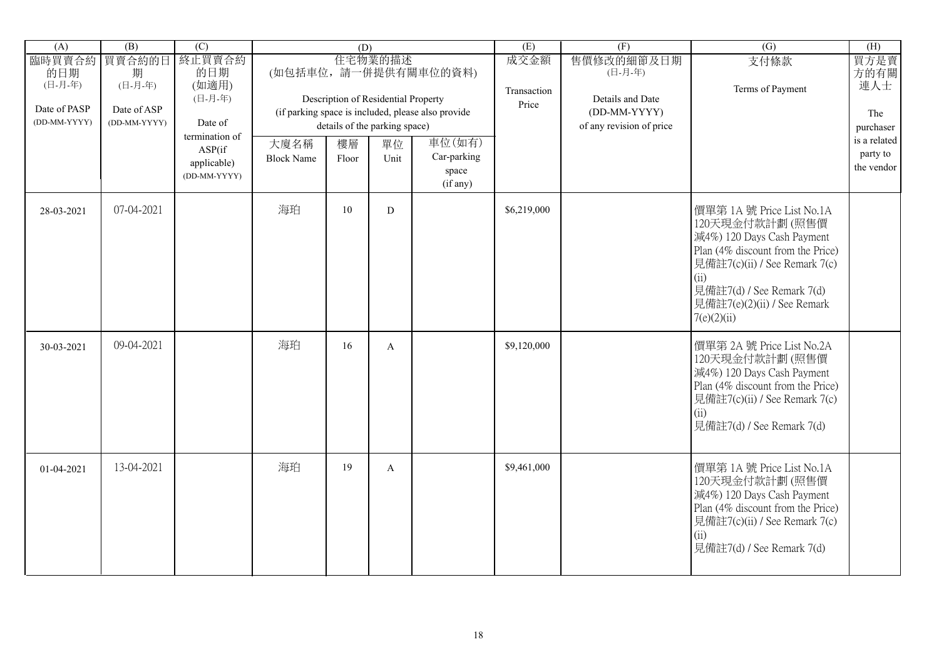| (A)                          | (B)                         | $\overline{(C)}$                                        |                           | (D)         |                                                                      |                                                    | (E)                 | (F)                                                          | $\overline{(G)}$                                                                                                                                                                                                                   | (H)                                    |
|------------------------------|-----------------------------|---------------------------------------------------------|---------------------------|-------------|----------------------------------------------------------------------|----------------------------------------------------|---------------------|--------------------------------------------------------------|------------------------------------------------------------------------------------------------------------------------------------------------------------------------------------------------------------------------------------|----------------------------------------|
| 臨時買賣合約<br>的日期<br>(日-月-年)     | 買賣合約的日<br>期<br>(日-月-年)      | 終止買賣合約<br>的日期<br>(如適用)                                  |                           |             | 住宅物業的描述                                                              | (如包括車位,請一併提供有關車位的資料)                               | 成交金額<br>Transaction | 售價修改的細節及日期<br>(日-月-年)                                        | 支付條款<br>Terms of Payment                                                                                                                                                                                                           | 買方是賣<br>方的有關<br>連人士                    |
| Date of PASP<br>(DD-MM-YYYY) | Date of ASP<br>(DD-MM-YYYY) | (日-月-年)<br>Date of                                      |                           |             | Description of Residential Property<br>details of the parking space) | (if parking space is included, please also provide | Price               | Details and Date<br>(DD-MM-YYYY)<br>of any revision of price |                                                                                                                                                                                                                                    | The<br>purchaser                       |
|                              |                             | termination of<br>ASP(if<br>applicable)<br>(DD-MM-YYYY) | 大廈名稱<br><b>Block Name</b> | 樓層<br>Floor | 單位<br>Unit                                                           | 車位(如有)<br>Car-parking<br>space<br>(if any)         |                     |                                                              |                                                                                                                                                                                                                                    | is a related<br>party to<br>the vendor |
| 28-03-2021                   | 07-04-2021                  |                                                         | 海珀                        | 10          | D                                                                    |                                                    | \$6,219,000         |                                                              | 價單第 1A 號 Price List No.1A<br>120天現金付款計劃(照售價<br>減4%) 120 Days Cash Payment<br>Plan (4% discount from the Price)<br>見備註7(c)(ii) / See Remark 7(c)<br>(ii)<br>見備註7(d) / See Remark 7(d)<br>見備註7(e)(2)(ii) / See Remark<br>7(e)(2)(ii) |                                        |
| 30-03-2021                   | 09-04-2021                  |                                                         | 海珀                        | 16          | $\mathbf{A}$                                                         |                                                    | \$9,120,000         |                                                              | 價單第 2A 號 Price List No.2A<br>120天現金付款計劃(照售價<br>減4%) 120 Days Cash Payment<br>Plan (4% discount from the Price)<br>見備註7(c)(ii) / See Remark 7(c)<br>(ii)<br>見備註7(d) / See Remark 7(d)                                               |                                        |
| 01-04-2021                   | 13-04-2021                  |                                                         | 海珀                        | 19          | A                                                                    |                                                    | \$9,461,000         |                                                              | 價單第 1A 號 Price List No.1A<br>120天現金付款計劃(照售價<br>減4%) 120 Days Cash Payment<br>Plan (4% discount from the Price)<br>見備註7(c)(ii) / See Remark 7(c)<br>(ii)<br>見備註7(d) / See Remark 7(d)                                               |                                        |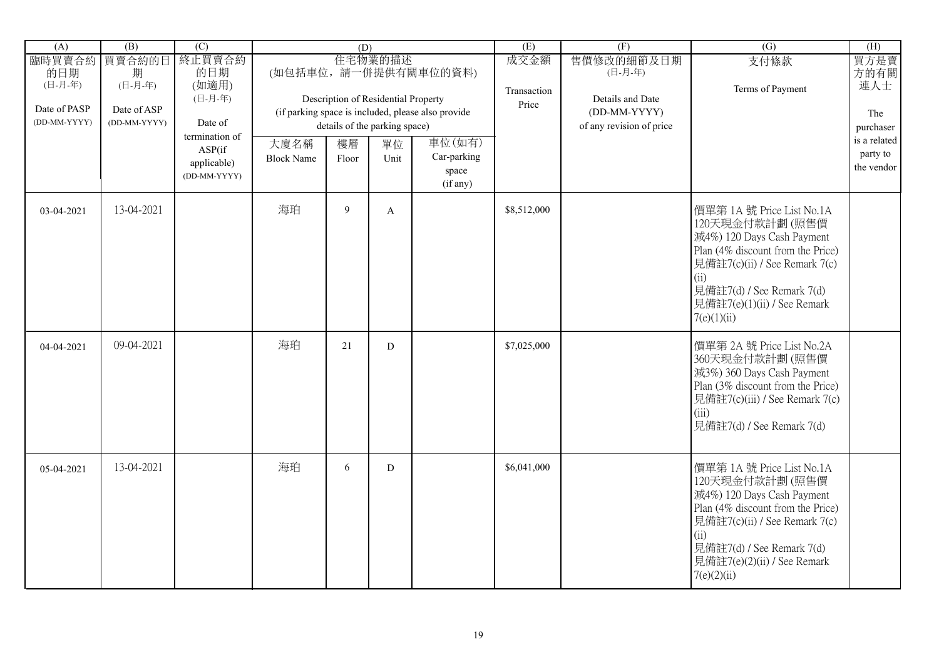| (A)                          | $\overline{(B)}$            | (C)                                                      |                           | (D)         |                                                                      |                                                    | (E)                  | (F)                                                          | $\overline{(G)}$                                                                                                                                                                                                                   | (H)                                    |
|------------------------------|-----------------------------|----------------------------------------------------------|---------------------------|-------------|----------------------------------------------------------------------|----------------------------------------------------|----------------------|--------------------------------------------------------------|------------------------------------------------------------------------------------------------------------------------------------------------------------------------------------------------------------------------------------|----------------------------------------|
| 臨時買賣合約<br>的日期<br>(日-月-年)     | 買賣合約的日<br>期<br>(日-月-年)      | 終止買賣合約<br>的日期<br>(如適用)                                   |                           |             | 住宅物業的描述                                                              | (如包括車位,請一併提供有關車位的資料)                               | 成交金額                 | 售價修改的細節及日期<br>(日-月-年)                                        | 支付條款                                                                                                                                                                                                                               | 買方是賣<br>方的有關<br>連人士                    |
| Date of PASP<br>(DD-MM-YYYY) | Date of ASP<br>(DD-MM-YYYY) | (日-月-年)<br>Date of                                       |                           |             | Description of Residential Property<br>details of the parking space) | (if parking space is included, please also provide | Transaction<br>Price | Details and Date<br>(DD-MM-YYYY)<br>of any revision of price | Terms of Payment                                                                                                                                                                                                                   | The<br>purchaser                       |
|                              |                             | termination of<br>ASP(if)<br>applicable)<br>(DD-MM-YYYY) | 大廈名稱<br><b>Block Name</b> | 樓層<br>Floor | 單位<br>Unit                                                           | 車位(如有)<br>Car-parking<br>space<br>(if any)         |                      |                                                              |                                                                                                                                                                                                                                    | is a related<br>party to<br>the vendor |
| 03-04-2021                   | 13-04-2021                  |                                                          | 海珀                        | 9           | A                                                                    |                                                    | \$8,512,000          |                                                              | 價單第 1A 號 Price List No.1A<br>120天現金付款計劃(照售價<br>減4%) 120 Days Cash Payment<br>Plan (4% discount from the Price)<br>見備註7(c)(ii) / See Remark 7(c)<br>(ii)<br>見備註7(d) / See Remark 7(d)<br>見備註7(e)(1)(ii) / See Remark<br>7(e)(1)(ii) |                                        |
| 04-04-2021                   | 09-04-2021                  |                                                          | 海珀                        | 21          | ${\bf D}$                                                            |                                                    | \$7,025,000          |                                                              | 價單第 2A 號 Price List No.2A<br>360天現金付款計劃(照售價<br>減3%) 360 Days Cash Payment<br>Plan (3% discount from the Price)<br>見備註7(c)(iii) / See Remark 7(c)<br>(iii)<br>見備註7(d) / See Remark 7(d)                                             |                                        |
| 05-04-2021                   | 13-04-2021                  |                                                          | 海珀                        | 6           | D                                                                    |                                                    | \$6,041,000          |                                                              | 價單第 1A 號 Price List No.1A<br>120天現金付款計劃(照售價<br>減4%) 120 Days Cash Payment<br>Plan (4% discount from the Price)<br>見備註7(c)(ii) / See Remark 7(c)<br>(ii)<br>見備註7(d) / See Remark 7(d)<br>見備註7(e)(2)(ii) / See Remark<br>7(e)(2)(ii) |                                        |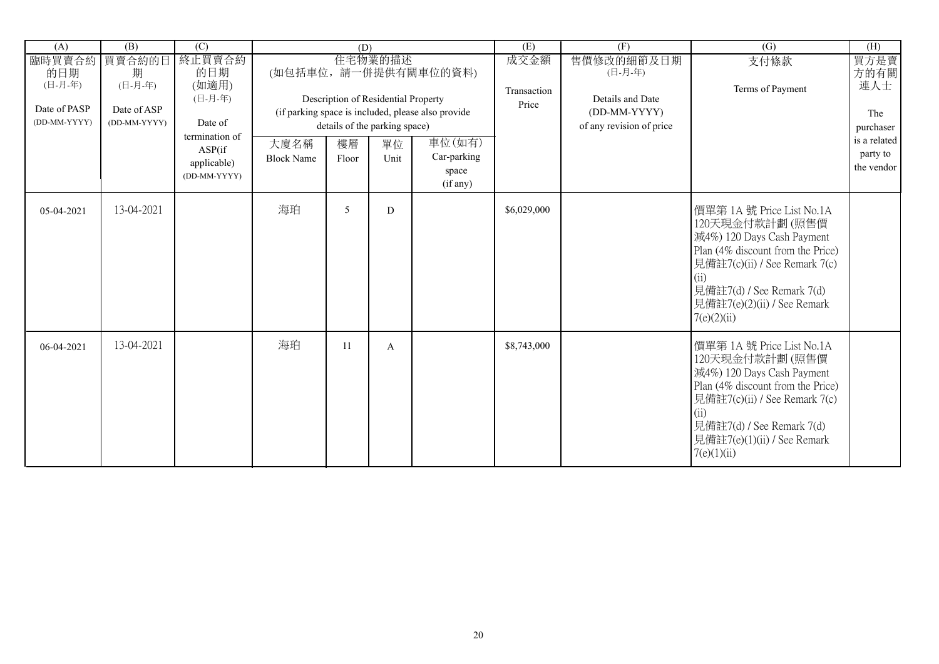| (A)                                                      | $\overline{(B)}$                                      | $\overline{C}$                                                                                           |                           | (D)         |                                                                                               |                                                                                                                          | (E)                          | $\overline{(F)}$                                                                      | (G)                                                                                                                                                                                                                                | (H)                                                                               |
|----------------------------------------------------------|-------------------------------------------------------|----------------------------------------------------------------------------------------------------------|---------------------------|-------------|-----------------------------------------------------------------------------------------------|--------------------------------------------------------------------------------------------------------------------------|------------------------------|---------------------------------------------------------------------------------------|------------------------------------------------------------------------------------------------------------------------------------------------------------------------------------------------------------------------------------|-----------------------------------------------------------------------------------|
| 臨時買賣合約<br>的日期<br>(日-月-年)<br>Date of PASP<br>(DD-MM-YYYY) | 買賣合約的日<br>期<br>(日-月-年)<br>Date of ASP<br>(DD-MM-YYYY) | 終止買賣合約<br>的日期<br>(如適用)<br>(日-月-年)<br>Date of<br>termination of<br>ASP(if)<br>applicable)<br>(DD-MM-YYYY) | 大廈名稱<br><b>Block Name</b> | 樓層<br>Floor | 住宅物業的描述<br>Description of Residential Property<br>details of the parking space)<br>單位<br>Unit | (如包括車位,請一併提供有關車位的資料)<br>(if parking space is included, please also provide<br>車位(如有)<br>Car-parking<br>space<br>(if any) | 成交金額<br>Transaction<br>Price | 售價修改的細節及日期<br>(日-月-年)<br>Details and Date<br>(DD-MM-YYYY)<br>of any revision of price | 支付條款<br>Terms of Payment                                                                                                                                                                                                           | 買方是賣<br>方的有關<br>連人士<br>The<br>purchaser<br>is a related<br>party to<br>the vendor |
| 05-04-2021                                               | 13-04-2021                                            |                                                                                                          | 海珀                        | 5           | D                                                                                             |                                                                                                                          | \$6,029,000                  |                                                                                       | 價單第 1A 號 Price List No.1A<br>120天現金付款計劃(照售價<br>減4%) 120 Days Cash Payment<br>Plan (4% discount from the Price)<br>見備註7(c)(ii) / See Remark 7(c)<br>(ii)<br>見備註7(d) / See Remark 7(d)<br>見備註7(e)(2)(ii) / See Remark<br>7(e)(2)(ii) |                                                                                   |
| 06-04-2021                                               | 13-04-2021                                            |                                                                                                          | 海珀                        | 11          | A                                                                                             |                                                                                                                          | \$8,743,000                  |                                                                                       | 價單第 1A 號 Price List No.1A<br>120天現金付款計劃(照售價<br>減4%) 120 Days Cash Payment<br>Plan (4% discount from the Price)<br>見備註7(c)(ii) / See Remark 7(c)<br>(ii)<br>見備註7(d) / See Remark 7(d)<br>見備註7(e)(1)(ii) / See Remark<br>7(e)(1)(ii) |                                                                                   |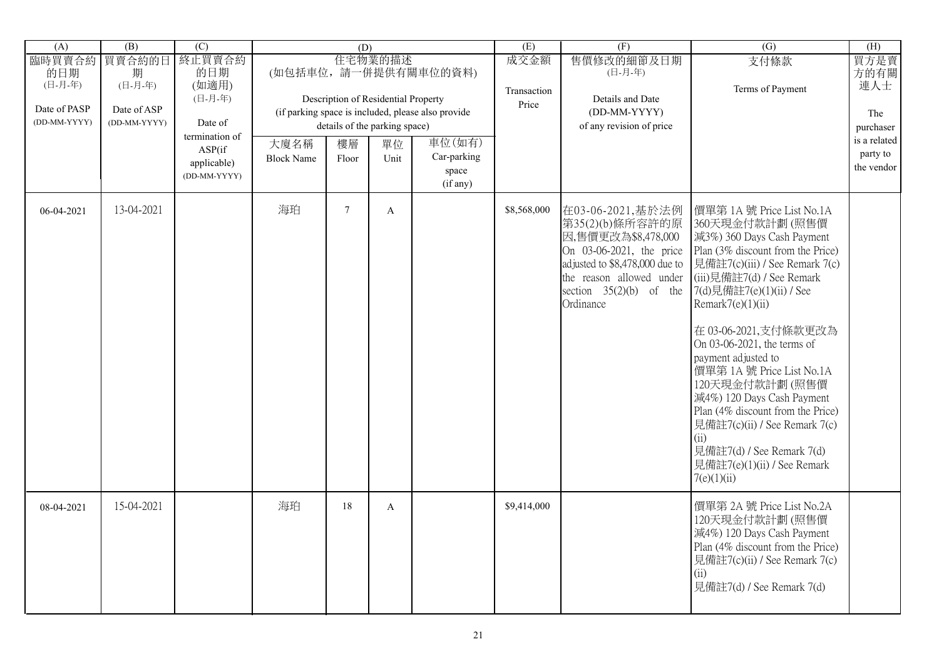| (A)                                                      | (B)                                                   | $\overline{C}$                                                                                          |                           | (D)         |                                                                                               |                                                                                                                          | (E)                          | (F)                                                                                                                                                                                           | $\overline{(G)}$                                                                                                                                                                                                                                                                                                                                                                                                                                                                                                                                   | (H)                                                                               |
|----------------------------------------------------------|-------------------------------------------------------|---------------------------------------------------------------------------------------------------------|---------------------------|-------------|-----------------------------------------------------------------------------------------------|--------------------------------------------------------------------------------------------------------------------------|------------------------------|-----------------------------------------------------------------------------------------------------------------------------------------------------------------------------------------------|----------------------------------------------------------------------------------------------------------------------------------------------------------------------------------------------------------------------------------------------------------------------------------------------------------------------------------------------------------------------------------------------------------------------------------------------------------------------------------------------------------------------------------------------------|-----------------------------------------------------------------------------------|
| 臨時買賣合約<br>的日期<br>(日-月-年)<br>Date of PASP<br>(DD-MM-YYYY) | 買賣合約的日<br>期<br>(日-月-年)<br>Date of ASP<br>(DD-MM-YYYY) | 終止買賣合約<br>的日期<br>(如適用)<br>(日-月-年)<br>Date of<br>termination of<br>ASP(if<br>applicable)<br>(DD-MM-YYYY) | 大廈名稱<br><b>Block Name</b> | 樓層<br>Floor | 住宅物業的描述<br>Description of Residential Property<br>details of the parking space)<br>單位<br>Unit | (如包括車位,請一併提供有關車位的資料)<br>(if parking space is included, please also provide<br>車位(如有)<br>Car-parking<br>space<br>(if any) | 成交金額<br>Transaction<br>Price | 售價修改的細節及日期<br>(日-月-年)<br>Details and Date<br>(DD-MM-YYYY)<br>of any revision of price                                                                                                         | 支付條款<br>Terms of Payment                                                                                                                                                                                                                                                                                                                                                                                                                                                                                                                           | 買方是賣<br>方的有關<br>連人士<br>The<br>purchaser<br>is a related<br>party to<br>the vendor |
| 06-04-2021                                               | 13-04-2021                                            |                                                                                                         | 海珀                        | $\tau$      | $\mathbf{A}$                                                                                  |                                                                                                                          | \$8,568,000                  | 在03-06-2021,基於法例<br>第35(2)(b)條所容許的原<br>因,售價更改為\$8,478,000<br>On 03-06-2021, the price<br>adjusted to \$8,478,000 due to<br>the reason allowed under<br>section $35(2)(b)$ of the<br>Ordinance | 價單第 1A 號 Price List No.1A<br>360天現金付款計劃(照售價<br>減3%) 360 Days Cash Payment<br>Plan (3% discount from the Price)<br>見備註7(c)(iii) / See Remark 7(c)<br>(iii)見備註7(d) / See Remark<br>7(d)見備註7(e)(1)(ii) / See<br>Remark7(e)(1)(ii)<br>在 03-06-2021,支付條款更改為<br>On 03-06-2021, the terms of<br>payment adjusted to<br>價單第 1A 號 Price List No.1A<br>120天現金付款計劃(照售價<br>減4%) 120 Days Cash Payment<br>Plan (4% discount from the Price)<br>見備註7(c)(ii) / See Remark 7(c)<br>(ii)<br>見備註7(d) / See Remark 7(d)<br>見備註7(e)(1)(ii) / See Remark<br>7(e)(1)(ii) |                                                                                   |
| 08-04-2021                                               | 15-04-2021                                            |                                                                                                         | 海珀                        | 18          | $\mathbf{A}$                                                                                  |                                                                                                                          | \$9,414,000                  |                                                                                                                                                                                               | 價單第 2A 號 Price List No.2A<br>120天現金付款計劃(照售價<br>減4%) 120 Days Cash Payment<br>Plan (4% discount from the Price)<br>見備註7(c)(ii) / See Remark 7(c)<br>(ii)<br>見備註7(d) / See Remark 7(d)                                                                                                                                                                                                                                                                                                                                                               |                                                                                   |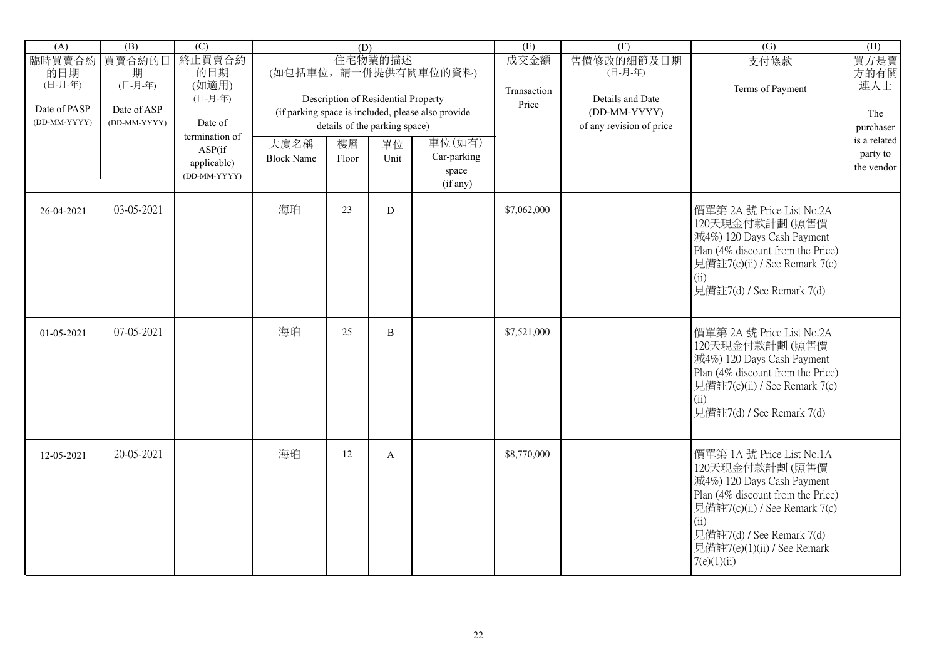| (A)                                      | (B)                         | $\overline{(C)}$                                        |                           | (D)         |                                                |                                                    | (E)                          | (F)                                       | $\overline{(G)}$                                                                                                                                                                                                                   | (H)                                    |
|------------------------------------------|-----------------------------|---------------------------------------------------------|---------------------------|-------------|------------------------------------------------|----------------------------------------------------|------------------------------|-------------------------------------------|------------------------------------------------------------------------------------------------------------------------------------------------------------------------------------------------------------------------------------|----------------------------------------|
| 臨時買賣合約<br>的日期<br>(日-月-年)<br>Date of PASP | 買賣合約的日<br>期<br>(日-月-年)      | 終止買賣合約<br>的日期<br>(如適用)<br>(日-月-年)                       |                           |             | 住宅物業的描述<br>Description of Residential Property | (如包括車位,請一併提供有關車位的資料)                               | 成交金額<br>Transaction<br>Price | 售價修改的細節及日期<br>(日-月-年)<br>Details and Date | 支付條款<br>Terms of Payment                                                                                                                                                                                                           | 買方是賣<br>方的有關<br>連人士                    |
| (DD-MM-YYYY)                             | Date of ASP<br>(DD-MM-YYYY) | Date of                                                 |                           |             | details of the parking space)                  | (if parking space is included, please also provide |                              | (DD-MM-YYYY)<br>of any revision of price  |                                                                                                                                                                                                                                    | The<br>purchaser                       |
|                                          |                             | termination of<br>ASP(if<br>applicable)<br>(DD-MM-YYYY) | 大廈名稱<br><b>Block Name</b> | 樓層<br>Floor | 單位<br>Unit                                     | 車位(如有)<br>Car-parking<br>space<br>(if any)         |                              |                                           |                                                                                                                                                                                                                                    | is a related<br>party to<br>the vendor |
| 26-04-2021                               | 03-05-2021                  |                                                         | 海珀                        | 23          | ${\bf D}$                                      |                                                    | \$7,062,000                  |                                           | 價單第 2A 號 Price List No.2A<br>120天現金付款計劃(照售價<br>減4%) 120 Days Cash Payment<br>Plan (4% discount from the Price)<br>見備註7(c)(ii) / See Remark 7(c)<br>(ii)<br>見備註7(d) / See Remark 7(d)                                               |                                        |
| 01-05-2021                               | 07-05-2021                  |                                                         | 海珀                        | 25          | B                                              |                                                    | \$7,521,000                  |                                           | 價單第 2A 號 Price List No.2A<br>120天現金付款計劃(照售價<br>減4%) 120 Days Cash Payment<br>Plan (4% discount from the Price)<br>見備註7(c)(ii) / See Remark 7(c)<br>(ii)<br>見備註7(d) / See Remark 7(d)                                               |                                        |
| 12-05-2021                               | 20-05-2021                  |                                                         | 海珀                        | 12          | $\mathbf{A}$                                   |                                                    | \$8,770,000                  |                                           | 價單第 1A 號 Price List No.1A<br>120天現金付款計劃(照售價<br>減4%) 120 Days Cash Payment<br>Plan (4% discount from the Price)<br>見備註7(c)(ii) / See Remark 7(c)<br>(ii)<br>見備註7(d) / See Remark 7(d)<br>見備註7(e)(1)(ii) / See Remark<br>7(e)(1)(ii) |                                        |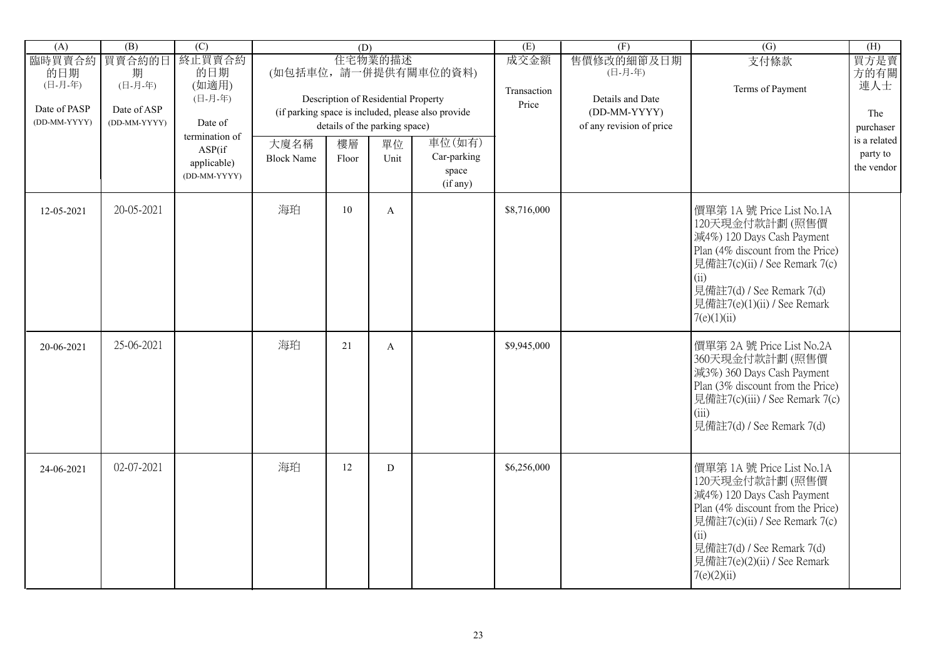| (A)                                                      | (B)                                                   | $\overline{C}$                                                           |                   | (D)                                                                        |               |                                                                                      | (E)                          | (F)                                                                                   | $\overline{(G)}$                                                                                                                                                                                                                   | (H)                                                                 |
|----------------------------------------------------------|-------------------------------------------------------|--------------------------------------------------------------------------|-------------------|----------------------------------------------------------------------------|---------------|--------------------------------------------------------------------------------------|------------------------------|---------------------------------------------------------------------------------------|------------------------------------------------------------------------------------------------------------------------------------------------------------------------------------------------------------------------------------|---------------------------------------------------------------------|
| 臨時買賣合約<br>的日期<br>(日-月-年)<br>Date of PASP<br>(DD-MM-YYYY) | 買賣合約的日<br>期<br>(日-月-年)<br>Date of ASP<br>(DD-MM-YYYY) | 終止買賣合約<br>的日期<br>(如適用)<br>(日-月-年)<br>Date of<br>termination of<br>ASP(if | 大廈名稱              | Description of Residential Property<br>details of the parking space)<br>樓層 | 住宅物業的描述<br>單位 | (如包括車位,請一併提供有關車位的資料)<br>(if parking space is included, please also provide<br>車位(如有) | 成交金額<br>Transaction<br>Price | 售價修改的細節及日期<br>(日-月-年)<br>Details and Date<br>(DD-MM-YYYY)<br>of any revision of price | 支付條款<br>Terms of Payment                                                                                                                                                                                                           | 買方是賣<br>方的有關<br>連人士<br>The<br>purchaser<br>is a related<br>party to |
|                                                          |                                                       | applicable)<br>(DD-MM-YYYY)                                              | <b>Block Name</b> | Floor                                                                      | Unit          | Car-parking<br>space<br>(if any)                                                     |                              |                                                                                       |                                                                                                                                                                                                                                    | the vendor                                                          |
| 12-05-2021                                               | 20-05-2021                                            |                                                                          | 海珀                | 10                                                                         | $\mathbf{A}$  |                                                                                      | \$8,716,000                  |                                                                                       | 價單第 1A 號 Price List No.1A<br>120天現金付款計劃(照售價<br>減4%) 120 Days Cash Payment<br>Plan (4% discount from the Price)<br>見備註7(c)(ii) / See Remark 7(c)<br>(ii)<br>見備註7(d) / See Remark 7(d)<br>見備註7(e)(1)(ii) / See Remark<br>7(e)(1)(ii) |                                                                     |
| 20-06-2021                                               | 25-06-2021                                            |                                                                          | 海珀                | 21                                                                         | $\mathbf{A}$  |                                                                                      | \$9,945,000                  |                                                                                       | 價單第 2A 號 Price List No.2A<br>360天現金付款計劃(照售價<br>減3%) 360 Days Cash Payment<br>Plan (3% discount from the Price)<br>見備註7(c)(iii) / See Remark 7(c)<br>(iii)<br>見備註7(d) / See Remark 7(d)                                             |                                                                     |
| 24-06-2021                                               | 02-07-2021                                            |                                                                          | 海珀                | 12                                                                         | D             |                                                                                      | \$6,256,000                  |                                                                                       | 價單第 1A 號 Price List No.1A<br>120天現金付款計劃(照售價<br>減4%) 120 Days Cash Payment<br>Plan (4% discount from the Price)<br>見備註7(c)(ii) / See Remark 7(c)<br>(ii)<br>見備註7(d) / See Remark 7(d)<br>見備註7(e)(2)(ii) / See Remark<br>7(e)(2)(ii) |                                                                     |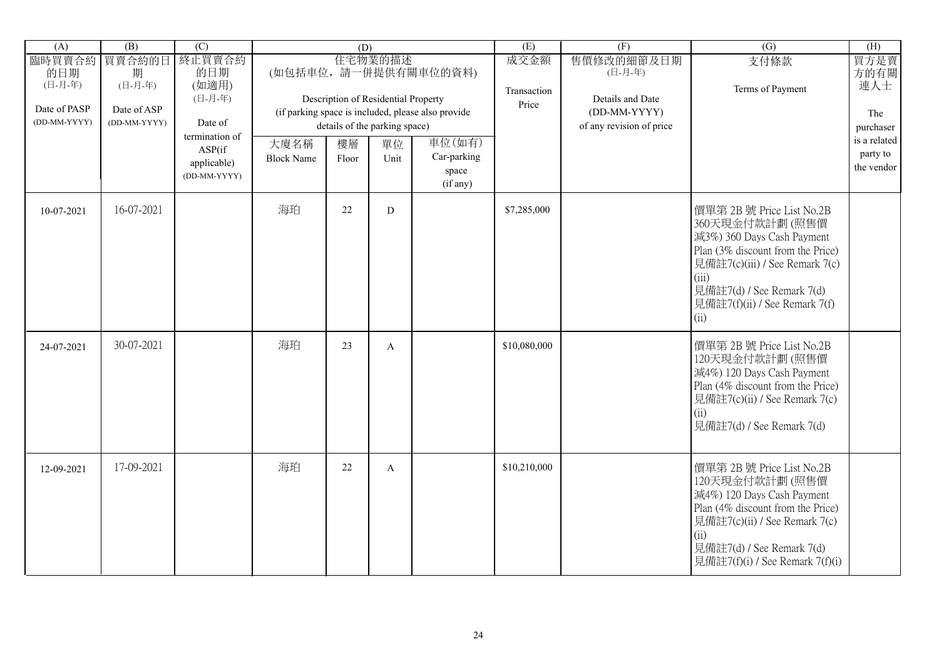| (A)                          | (B)                         | $\overline{(C)}$                      |                           | (D)         |                                                                      |                                                    | (E)                 | (F)                                                          | $\overline{(G)}$                                                                                                                                                                                                                | (H)                                    |
|------------------------------|-----------------------------|---------------------------------------|---------------------------|-------------|----------------------------------------------------------------------|----------------------------------------------------|---------------------|--------------------------------------------------------------|---------------------------------------------------------------------------------------------------------------------------------------------------------------------------------------------------------------------------------|----------------------------------------|
| 臨時買賣合約<br>的日期<br>(日-月-年)     | 買賣合約的日<br>期<br>(日-月-年)      | 終止買賣合約<br>的日期<br>(如適用)                |                           |             | 住宅物業的描述                                                              | (如包括車位,請一併提供有關車位的資料)                               | 成交金額<br>Transaction | 售價修改的細節及日期<br>(日-月-年)                                        | 支付條款<br>Terms of Payment                                                                                                                                                                                                        | 買方是賣<br>方的有關<br>連人士                    |
| Date of PASP<br>(DD-MM-YYYY) | Date of ASP<br>(DD-MM-YYYY) | (日-月-年)<br>Date of<br>termination of  |                           |             | Description of Residential Property<br>details of the parking space) | (if parking space is included, please also provide | Price               | Details and Date<br>(DD-MM-YYYY)<br>of any revision of price |                                                                                                                                                                                                                                 | The<br>purchaser                       |
|                              |                             | ASP(if<br>applicable)<br>(DD-MM-YYYY) | 大廈名稱<br><b>Block Name</b> | 樓層<br>Floor | 單位<br>Unit                                                           | 車位(如有)<br>Car-parking<br>space<br>(if any)         |                     |                                                              |                                                                                                                                                                                                                                 | is a related<br>party to<br>the vendor |
| 10-07-2021                   | 16-07-2021                  |                                       | 海珀                        | 22          | D                                                                    |                                                    | \$7,285,000         |                                                              | 價單第 2B 號 Price List No.2B<br>360天現金付款計劃(照售價<br>減3%) 360 Days Cash Payment<br>Plan (3% discount from the Price)<br>見備註7(c)(iii) / See Remark 7(c)<br>(iii)<br>見備註7(d) / See Remark 7(d)<br>見備註7(f)(ii) / See Remark 7(f)<br>(ii) |                                        |
| 24-07-2021                   | 30-07-2021                  |                                       | 海珀                        | 23          | $\mathbf{A}$                                                         |                                                    | \$10,080,000        |                                                              | 價單第 2B 號 Price List No.2B<br>120天現金付款計劃(照售價<br>減4%) 120 Days Cash Payment<br>Plan (4% discount from the Price)<br>見備註7(c)(ii) / See Remark 7(c)<br>(ii)<br>見備註7(d) / See Remark 7(d)                                            |                                        |
| 12-09-2021                   | 17-09-2021                  |                                       | 海珀                        | 22          | A                                                                    |                                                    | \$10,210,000        |                                                              | 價單第 2B 號 Price List No.2B<br>120天現金付款計劃(照售價<br>減4%) 120 Days Cash Payment<br>Plan (4% discount from the Price)<br>見備註7(c)(ii) / See Remark 7(c)<br>(ii)<br>見備註7(d) / See Remark 7(d)<br>見備註7(f)(i) / See Remark 7(f)(i)         |                                        |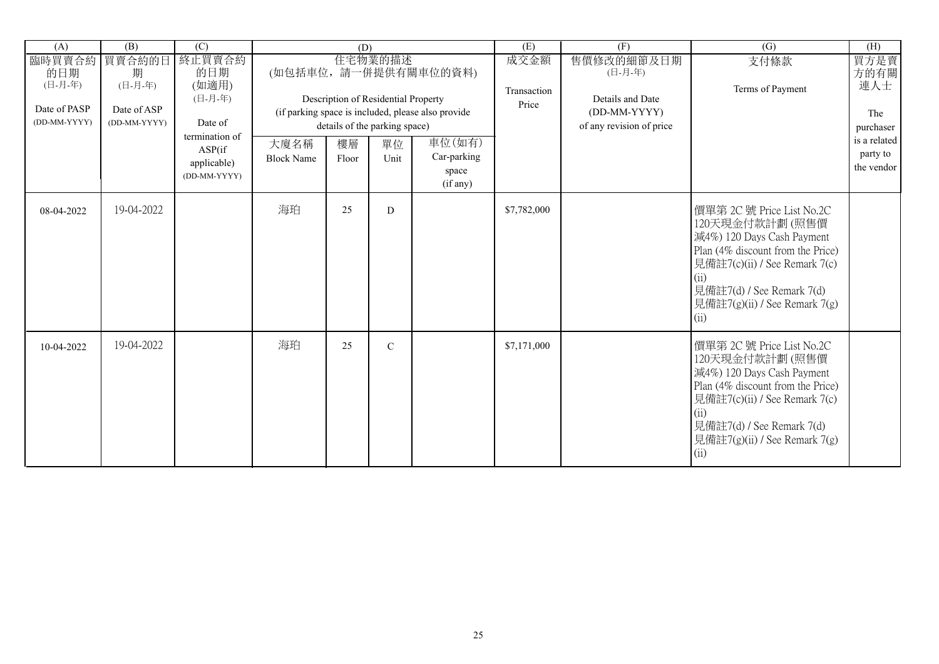| (A)                                                      | $\overline{(B)}$                                      | $\overline{C}$                                                                                          |                           | (D)         |                                                                                               |                                                                                                                          | (E)                          | (F)                                                                                   | (G)                                                                                                                                                                                                                                 | (H)                                                                               |
|----------------------------------------------------------|-------------------------------------------------------|---------------------------------------------------------------------------------------------------------|---------------------------|-------------|-----------------------------------------------------------------------------------------------|--------------------------------------------------------------------------------------------------------------------------|------------------------------|---------------------------------------------------------------------------------------|-------------------------------------------------------------------------------------------------------------------------------------------------------------------------------------------------------------------------------------|-----------------------------------------------------------------------------------|
| 臨時買賣合約<br>的日期<br>(日-月-年)<br>Date of PASP<br>(DD-MM-YYYY) | 買賣合約的日<br>期<br>(日-月-年)<br>Date of ASP<br>(DD-MM-YYYY) | 終止買賣合約<br>的日期<br>(如適用)<br>(日-月-年)<br>Date of<br>termination of<br>ASP(if<br>applicable)<br>(DD-MM-YYYY) | 大廈名稱<br><b>Block Name</b> | 樓層<br>Floor | 住宅物業的描述<br>Description of Residential Property<br>details of the parking space)<br>單位<br>Unit | (如包括車位,請一併提供有關車位的資料)<br>(if parking space is included, please also provide<br>車位(如有)<br>Car-parking<br>space<br>(if any) | 成交金額<br>Transaction<br>Price | 售價修改的細節及日期<br>(日-月-年)<br>Details and Date<br>(DD-MM-YYYY)<br>of any revision of price | 支付條款<br>Terms of Payment                                                                                                                                                                                                            | 買方是賣<br>方的有關<br>連人士<br>The<br>purchaser<br>is a related<br>party to<br>the vendor |
| 08-04-2022                                               | 19-04-2022                                            |                                                                                                         | 海珀                        | 25          | D                                                                                             |                                                                                                                          | \$7,782,000                  |                                                                                       | 價單第 2C 號 Price List No.2C<br>120天現金付款計劃(照售價<br>減4%) 120 Days Cash Payment<br>Plan (4% discount from the Price)<br>見備註7(c)(ii) / See Remark 7(c)<br>(ii)<br>見備註7(d) / See Remark 7(d)<br>見備註7 $(g)(ii)$ / See Remark 7 $(g)$<br>(ii) |                                                                                   |
| 10-04-2022                                               | 19-04-2022                                            |                                                                                                         | 海珀                        | 25          | $\mathcal{C}$                                                                                 |                                                                                                                          | \$7,171,000                  |                                                                                       | 價單第 2C 號 Price List No.2C<br>120天現金付款計劃(照售價<br>減4%) 120 Days Cash Payment<br>Plan (4% discount from the Price)<br>見備註7(c)(ii) / See Remark 7(c)<br>(ii)<br>見備註7(d) / See Remark 7(d)<br>見備註7(g)(ii) / See Remark 7(g)<br>(ii)       |                                                                                   |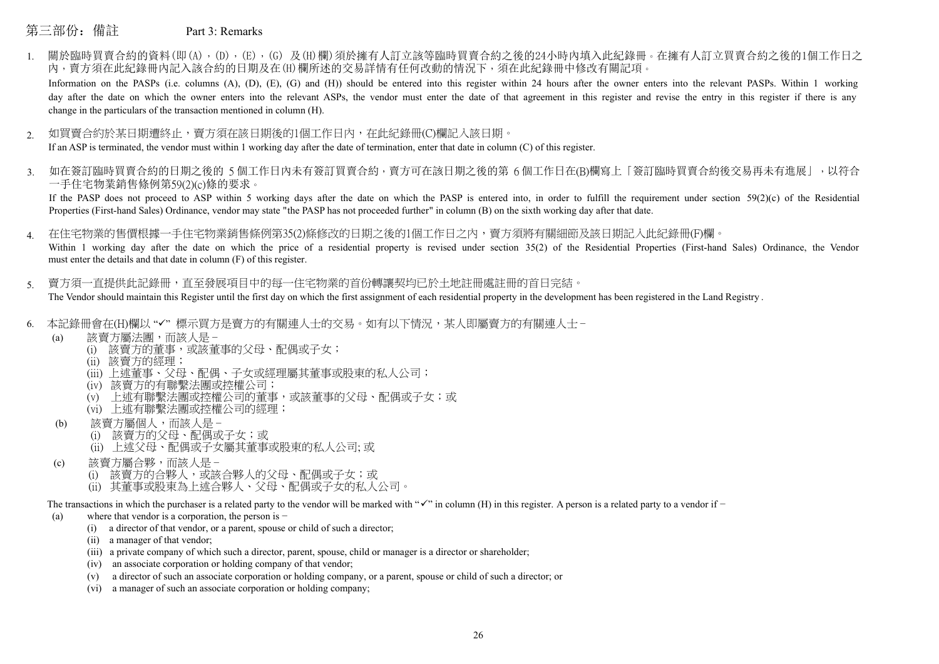## 第三部份:備註 Part 3: Remarks

1. 關於臨時買賣合約的資料(即(A),(D),(E),(G)及(H)欄)須於擁有人訂立該等臨時買賣合約之後的24小時內填入此紀錄冊。在擁有人訂立買賣合約之後的1個工作日之 內,賣方須在此紀錄冊內記入該合約的日期及在(H)欄所述的交易詳情有任何改動的情況下,須在此紀錄冊中修改有關記項。

Information on the PASPs (i.e. columns (A), (D), (E), (G) and (H)) should be entered into this register within 24 hours after the owner enters into the relevant PASPs. Within 1 working day after the date on which the owner enters into the relevant ASPs, the vendor must enter the date of that agreement in this register and revise the entry in this register if there is any change in the particulars of the transaction mentioned in column (H).

- 如買賣合約於某日期遭終止,賣方須在該日期後的1個工作日內,在此紀錄冊(C)欄記入該日期。 If an ASP is terminated, the vendor must within 1 working day after the date of termination, enter that date in column (C) of this register. 2.
- 如在簽訂臨時買賣合約的日期之後的 5 個工作日内未有簽訂買賣合約,賣方可在該日期之後的第 6 個工作日在(B)欄寫上「簽訂臨時買賣合約後交易再未有進展」,以符合 一手住宅物業銷售條例第59(2)(c)條的要求。 3.

If the PASP does not proceed to ASP within 5 working days after the date on which the PASP is entered into, in order to fulfill the requirement under section  $59(2)(c)$  of the Residential Properties (First-hand Sales) Ordinance, vendor may state "the PASP has not proceeded further" in column (B) on the sixth working day after that date.

在住宅物業的售價根據一手住宅物業銷售條例第35(2)條修改的日期之後的1個工作日之內,賣方須將有關細節及該日期記入此紀錄冊(F)欄。 4.

Within 1 working day after the date on which the price of a residential property is revised under section 35(2) of the Residential Properties (First-hand Sales) Ordinance, the Vendor must enter the details and that date in column (F) of this register.

- 賣方須一直提供此記錄冊,直至發展項目中的每一住宅物業的首份轉讓契均已於土地註冊處註冊的首日完結。 The Vendor should maintain this Register until the first day on which the first assignment of each residential property in the development has been registered in the Land Registry. 5.
- 6. 本記錄冊會在(H)欄以 "√"標示買方是賣方的有關連人士的交易。如有以下情況,某人即屬賣方的有關連人士 −
	- (a) 該賣方屬法團,而該人是 −
		- (i) 該賣方的董事,或該董事的父母、配偶或子女;
		- (ii) 該賣方的經理;
		- (iii) 上述董事、父母、配偶、子女或經理屬其董事或股東的私人公司;
		- (iv) 該賣方的有聯繫法團或控權公司;
		- (v) 上述有聯繫法團或控權公司的董事,或該董事的父母、配偶或子女;或
		- (vi) 上述有聯繫法團或控權公司的經理;
	- (b) 該賣方屬個人,而該人是 −
		- (i) 該賣方的父母、配偶或子女;或
		- (ii) 上述父母、配偶或子女屬其董事或股東的私人公司; 或
	- (c) 該賣方屬合夥,而該人是 −
		- (i) 該賣方的合夥人,或該合夥人的父母、配偶或子女;或
		- (ii) 其董事或股東為上述合夥人、父母、配偶或子女的私人公司。

The transactions in which the purchaser is a related party to the vendor will be marked with " $\checkmark$ " in column (H) in this register. A person is a related party to a vendor if  $-$ 

- (a) where that vendor is a corporation, the person is −
	- (i) a director of that vendor, or a parent, spouse or child of such a director;
	- (ii) a manager of that vendor;
	- (iii) a private company of which such a director, parent, spouse, child or manager is a director or shareholder;
	- (iv) an associate corporation or holding company of that vendor;
	- (v) a director of such an associate corporation or holding company, or a parent, spouse or child of such a director; or
	- (vi) a manager of such an associate corporation or holding company;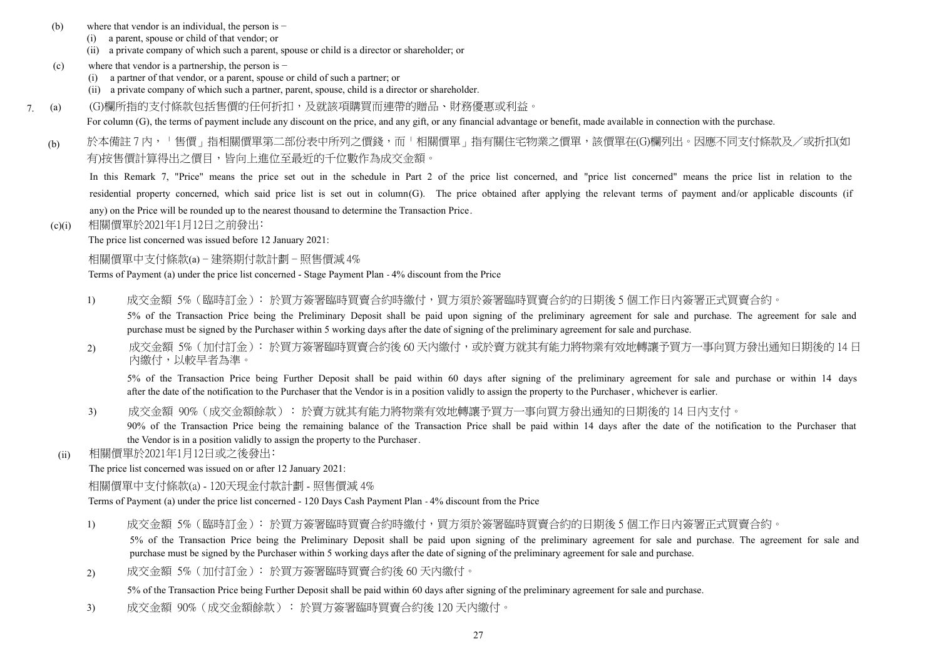- (b) where that vendor is an individual, the person is −
	- (i) a parent, spouse or child of that vendor; or
	- (ii) a private company of which such a parent, spouse or child is a director or shareholder; or
- (c) where that vendor is a partnership, the person is −
	- (i) a partner of that vendor, or a parent, spouse or child of such a partner; or
	- (ii) a private company of which such a partner, parent, spouse, child is a director or shareholder.
- 7. (G)欄所指的支付條款包括售價的任何折扣,及就該項購買而連帶的贈品、財務優惠或利益。 (a)
	- For column (G), the terms of payment include any discount on the price, and any gift, or any financial advantage or benefit, made available in connection with the purchase.
	- 於本備註 7 內,「售價」指相關價單第二部份表中所列之價錢,而「相關價單」指有關住宅物業之價單,該價單在(G)欄列出。因應不同支付條款及/或折扣(如 有)按售價計算得出之價目,皆向上進位至最近的千位數作為成交金額。 (b)

In this Remark 7, "Price" means the price set out in the schedule in Part 2 of the price list concerned, and "price list concerned" means the price list in relation to the residential property concerned, which said price list is set out in column(G). The price obtained after applying the relevant terms of payment and/or applicable discounts (if any) on the Price will be rounded up to the nearest thousand to determine the Transaction Price.

(c)(i) 相關價單於2021年1月12日之前發出﹕

The price list concerned was issued before 12 January 2021:

相關價單中支付條款(a) − 建築期付款計劃 − 照售價減 4%

Terms of Payment (a) under the price list concerned - Stage Payment Plan - 4% discount from the Price

1) 成交金額 5% (臨時訂金):於買方簽署臨時買賣合約時繳付,買方須於簽署臨時買賣合約的日期後 5 個工作日内簽署正式買賣合約。

5% of the Transaction Price being the Preliminary Deposit shall be paid upon signing of the preliminary agreement for sale and purchase. The agreement for sale and purchase must be signed by the Purchaser within 5 working days after the date of signing of the preliminary agreement for sale and purchase.

成交金額 5%(加付訂金):於買方簽署臨時買賣合約後 60 天內繳付,或於賣方就其有能力將物業有效地轉讓予買方一事向買方發出通知日期後的 14 日 內繳付,以較早者為準。 2)

5% of the Transaction Price being Further Deposit shall be paid within 60 days after signing of the preliminary agreement for sale and purchase or within 14 days after the date of the notification to the Purchaser that the Vendor is in a position validly to assign the property to the Purchaser, whichever is earlier.

3) 放交金額(成交金額餘款):於賣方就其有能力將物業有效地轉讓予買方一事向買方發出通知的日期後的 14 日内支付。

90% of the Transaction Price being the remaining balance of the Transaction Price shall be paid within 14 days after the date of the notification to the Purchaser that the Vendor is in a position validly to assign the property to the Purchaser.

(ii) 相關價單於2021年1月12日或之後發出﹕

The price list concerned was issued on or after 12 January 2021:

相關價單中支付條款(a) - 120天現金付款計劃 - 照售價減 4%

Terms of Payment (a) under the price list concerned - 120 Days Cash Payment Plan - 4% discount from the Price

1) 成交金額 5% (臨時訂金): 於買方簽署臨時買賣合約時繳付,買方須於簽署臨時買賣合約的日期後 5 個工作日内簽署正式買賣合約。

5% of the Transaction Price being the Preliminary Deposit shall be paid upon signing of the preliminary agreement for sale and purchase. The agreement for sale and purchase must be signed by the Purchaser within 5 working days after the date of signing of the preliminary agreement for sale and purchase.

2) 成交金額 5%(加付訂金)﹕於買方簽署臨時買賣合約後 60 天內繳付。

5% of the Transaction Price being Further Deposit shall be paid within 60 days after signing of the preliminary agreement for sale and purchase.

3) 成交金額 90%(成交金額餘款) ﹕於買方簽署臨時買賣合約後 120 天內繳付。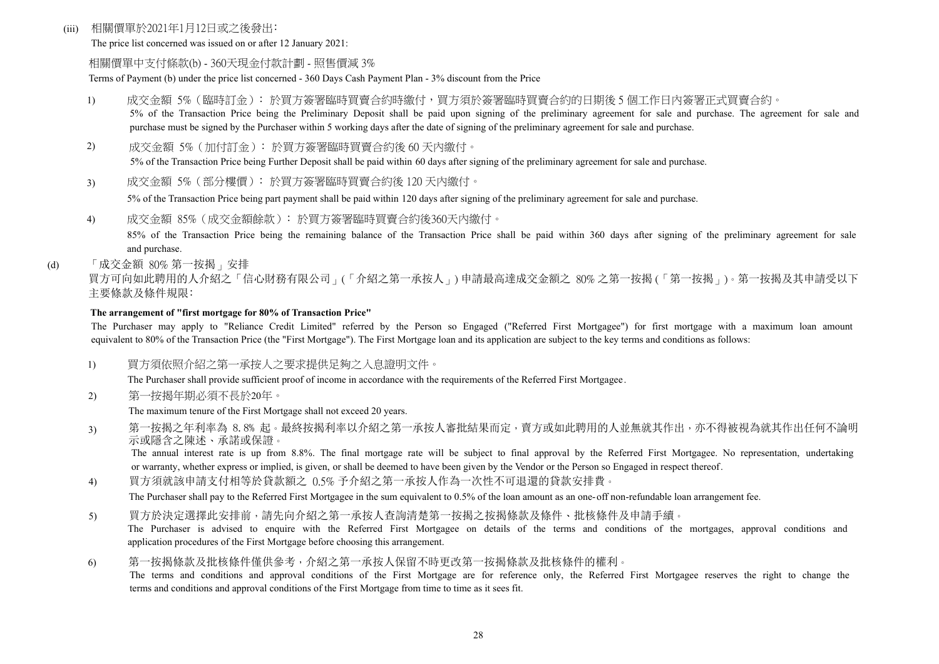#### (iii) 相關價單於2021年1月12日或之後發出﹕

The price list concerned was issued on or after 12 January 2021:

#### 相關價單中支付條款(b) - 360天現金付款計劃 - 照售價減 3%

Terms of Payment (b) under the price list concerned - 360 Days Cash Payment Plan - 3% discount from the Price

- 1) 成交金額 5%(臨時訂金)﹕於買方簽署臨時買賣合約時繳付,買方須於簽署臨時買賣合約的日期後 5 個工作日內簽署正式買賣合約。 5% of the Transaction Price being the Preliminary Deposit shall be paid upon signing of the preliminary agreement for sale and purchase. The agreement for sale and purchase must be signed by the Purchaser within 5 working days after the date of signing of the preliminary agreement for sale and purchase.
- 2) 成交金額 5%(加付訂金)﹕於買方簽署臨時買賣合約後 60 天內繳付。

5% of the Transaction Price being Further Deposit shall be paid within 60 days after signing of the preliminary agreement for sale and purchase.

3) 成交金額 5%(部分樓價)﹕於買方簽署臨時買賣合約後 120 天內繳付。

5% of the Transaction Price being part payment shall be paid within 120 days after signing of the preliminary agreement for sale and purchase.

4) 成交金額 85%(成交金額餘款)﹕於買方簽署臨時買賣合約後360天內繳付。

85% of the Transaction Price being the remaining balance of the Transaction Price shall be paid within 360 days after signing of the preliminary agreement for sale and purchase.

(d) 「成交金額 80% 第一按揭」安排

買方可向如此聘用的人介紹之「信心財務有限公司」(「介紹之第一承按人」) 申請最高達成交金額之 80% 之第一按揭 (「第一按揭」)。第一按揭及其申請受以下 主要條款及條件規限﹕

#### **The arrangement of "first mortgage for 80% of Transaction Price"**

The Purchaser may apply to "Reliance Credit Limited" referred by the Person so Engaged ("Referred First Mortgagee") for first mortgage with a maximum loan amount equivalent to 80% of the Transaction Price (the "First Mortgage"). The First Mortgage loan and its application are subject to the key terms and conditions as follows:

1) 買方須依照介紹之第一承按人之要求提供足夠之入息證明文件。

The Purchaser shall provide sufficient proof of income in accordance with the requirements of the Referred First Mortgagee.

2) 第一按揭年期必須不長於20年。

The maximum tenure of the First Mortgage shall not exceed 20 years.

3) 第一按揭之年利率為 8.8% 起。最終按揭利率以介紹之第一承按人審批結果而定,賣方或如此聘用的人並無就其作出,亦不得被視為就其作出任何不論明 示或隱含之陳述、承諾或保證。

The annual interest rate is up from 8.8%. The final mortgage rate will be subject to final approval by the Referred First Mortgagee. No representation, undertaking or warranty, whether express or implied, is given, or shall be deemed to have been given by the Vendor or the Person so Engaged in respect thereof.

4) 買方須就該申請支付相等於貸款額之 0.5% 予介紹之第一承按人作為一次性不可退還的貸款安排費。

The Purchaser shall pay to the Referred First Mortgagee in the sum equivalent to 0.5% of the loan amount as an one-off non-refundable loan arrangement fee.

- 5) 買方於決定選擇此安排前,請先向介紹之第一承按人查詢清楚第一按揭之按揭條款及條件、批核條件及申請手續。 The Purchaser is advised to enquire with the Referred First Mortgagee on details of the terms and conditions of the mortgages, approval conditions and application procedures of the First Mortgage before choosing this arrangement.
- 6) 第一按揭條款及批核條件僅供參考,介紹之第一承按人保留不時更改第一按揭條款及批核條件的權利。

The terms and conditions and approval conditions of the First Mortgage are for reference only, the Referred First Mortgagee reserves the right to change the terms and conditions and approval conditions of the First Mortgage from time to time as it sees fit.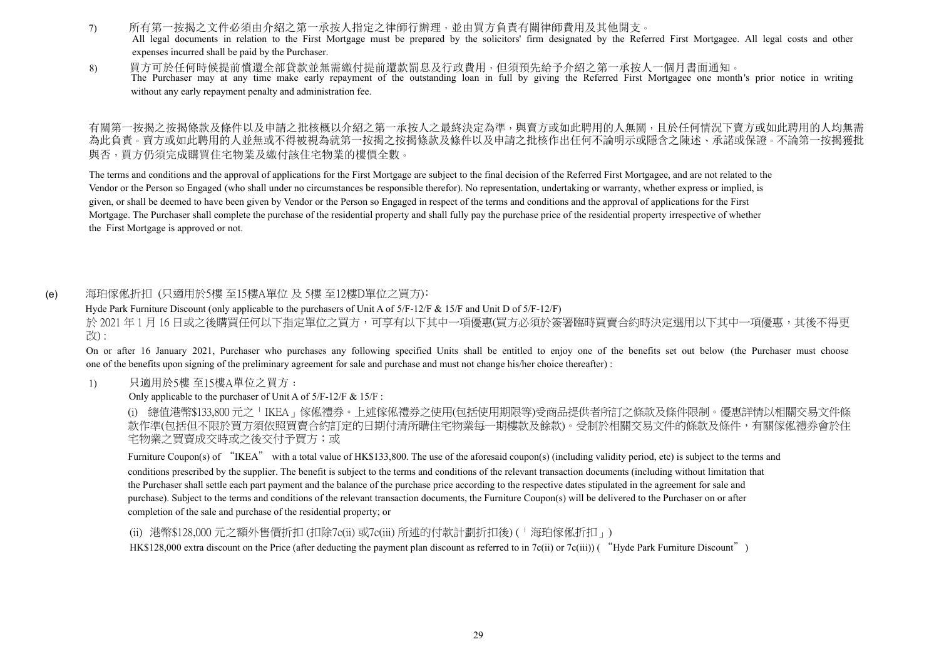- 7) 所有第一按揭之文件必須由介紹之第一承按人指定之律師行辦理,並由買方負責有關律師費用及其他開支。 All legal documents in relation to the First Mortgage must be prepared by the solicitors' firm designated by the Referred First Mortgagee. All legal costs and other expenses incurred shall be paid by the Purchaser.
- 8) 買方可於任何時候提前償還全部貸款並無需繳付提前還款罰息及行政費用,但須預先給予介紹之第一承按人一個月書面通知。 The Purchaser may at any time make early repayment of the outstanding loan in full by giving the Referred First Mortgagee one month's prior notice in writing without any early repayment penalty and administration fee.

有關第一按揭之按揭條款及條件以及申請之批核概以介紹之第一承按人之最終決定為準,與賣方或如此聘用的人無關,且於任何情況下賣方或如此聘用的人均無需 為此負責。賣方或如此聘用的人並無或不得被視為就第一按揭之按揭條款及條件以及申請之批核作出任何不論明示或隱含之陳述、承諾或保證。不論第一按揭獲批 與否,買方仍須完成購買住宅物業及繳付該住宅物業的樓價全數。

The terms and conditions and the approval of applications for the First Mortgage are subject to the final decision of the Referred First Mortgagee, and are not related to the Vendor or the Person so Engaged (who shall under no circumstances be responsible therefor). No representation, undertaking or warranty, whether express or implied, is given, or shall be deemed to have been given by Vendor or the Person so Engaged in respect of the terms and conditions and the approval of applications for the First Mortgage. The Purchaser shall complete the purchase of the residential property and shall fully pay the purchase price of the residential property irrespective of whether the First Mortgage is approved or not.

#### 海珀傢俬折扣 (只適用於5樓 至15樓A單位 及 5樓 至12樓D單位之買方): (e)

Hyde Park Furniture Discount (only applicable to the purchasers of Unit A of 5/F-12/F & 15/F and Unit D of 5/F-12/F)

於 2021年1月16日或之後購買任何以下指定單位之買方,可享有以下其中一項優惠(買方必須於簽署臨時買賣合約時決定選用以下其中一項優惠,其後不得更 改) :

On or after 16 January 2021, Purchaser who purchases any following specified Units shall be entitled to enjoy one of the benefits set out below (the Purchaser must choose one of the benefits upon signing of the preliminary agreement for sale and purchase and must not change his/her choice thereafter) :

#### 1) 只適用於5樓 至15樓A單位之買方﹕

#### Only applicable to the purchaser of Unit A of 5/F-12/F & 15/F :

(i) 總值港幣\$133,800 元之「IKEA」傢俬禮券。上述傢俬禮券之使用(包括使用期限等)受商品提供者所訂之條款及條件限制。優惠詳情以相關交易文件條 款作準(包括但不限於買方須依照買賣合約訂定的日期付清所購住宅物業每一期樓款及餘款)。受制於相關交易文件的條款及條件,有關傢俬禮券會於住 宅物業之買賣成交時或之後交付予買方;或

Furniture Coupon(s) of "IKEA" with a total value of HK\$133,800. The use of the aforesaid coupon(s) (including validity period, etc) is subject to the terms and conditions prescribed by the supplier. The benefit is subject to the terms and conditions of the relevant transaction documents (including without limitation that the Purchaser shall settle each part payment and the balance of the purchase price according to the respective dates stipulated in the agreement for sale and purchase). Subject to the terms and conditions of the relevant transaction documents, the Furniture Coupon(s) will be delivered to the Purchaser on or after completion of the sale and purchase of the residential property; or

#### (ii) 港幣\$128,000 元之額外售價折扣 (扣除7c(ii) 或7c(iii) 所述的付款計劃折扣後) (「海珀傢俬折扣」)

HK\$128,000 extra discount on the Price (after deducting the payment plan discount as referred to in 7c(ii) or 7c(iii)) ("Hyde Park Furniture Discount")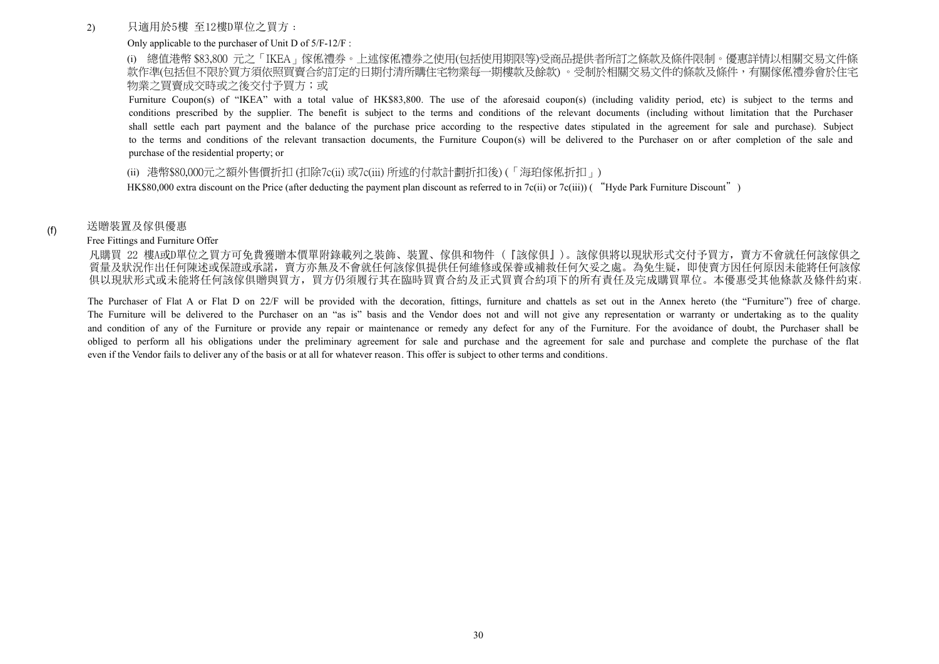#### 2) 只適用於5樓 至12樓D單位之買方﹕

#### Only applicable to the purchaser of Unit D of 5/F-12/F :

(i) 總值港幣 \$83,800 元之「IKEA」傢俬禮券。上述傢俬禮券之使用(包括使用期限等)受商品提供者所訂之條款及條件限制。優惠詳情以相關交易文件條 款作進(包括但不限於買方須依照買賣合約訂定的日期付清所購住宅物業每一期樓款及餘款)。受制於相關交易文件的條款及條件,有關傢俬禮券會於住宅 物業之買賣成交時或之後交付予買方;或

Furniture Coupon(s) of "IKEA" with a total value of HK\$83,800. The use of the aforesaid coupon(s) (including validity period, etc) is subject to the terms and conditions prescribed by the supplier. The benefit is subject to the terms and conditions of the relevant documents (including without limitation that the Purchaser shall settle each part payment and the balance of the purchase price according to the respective dates stipulated in the agreement for sale and purchase). Subject to the terms and conditions of the relevant transaction documents, the Furniture Coupon(s) will be delivered to the Purchaser on or after completion of the sale and purchase of the residential property; or

#### (ii) 港幣\$80,000元之額外售價折扣 (扣除7c(ii) 或7c(iii) 所述的付款計劃折扣後) (「海珀傢俬折扣」)

HK\$80,000 extra discount on the Price (after deducting the payment plan discount as referred to in 7c(ii) or 7c(iii)) ("Hyde Park Furniture Discount")

#### 送贈裝置及傢俱優惠

(f)

#### Free Fittings and Furniture Offer

凡購買 22 樓A或D單位之買方可免費獲贈本價單附錄載列之裝飾、裝置、傢俱和物件(『該傢俱』)。該傢俱將以現狀形式交付予買方,賣方不會就任何該傢俱之 質量及狀況作出任何陳述或保證或承諾,賣方亦無及不會就任何該傢俱提供任何維修或保養或補救任何欠妥之處。為免生疑,即使賣方因任何原因未能將任何該傢 俱以現狀形式或未能將任何該傢俱贈與買方,買方仍須履行其在臨時買賣合約及正式買賣合約項下的所有責任及完成購買單位。本優惠受其他條款及條件約束。

The Purchaser of Flat A or Flat D on 22/F will be provided with the decoration, fittings, furniture and chattels as set out in the Annex hereto (the "Furniture") free of charge. The Furniture will be delivered to the Purchaser on an "as is" basis and the Vendor does not and will not give any representation or warranty or undertaking as to the quality and condition of any of the Furniture or provide any repair or maintenance or remedy any defect for any of the Furniture. For the avoidance of doubt, the Purchaser shall be obliged to perform all his obligations under the preliminary agreement for sale and purchase and the agreement for sale and purchase and complete the purchase of the flat even if the Vendor fails to deliver any of the basis or at all for whatever reason. This offer is subject to other terms and conditions.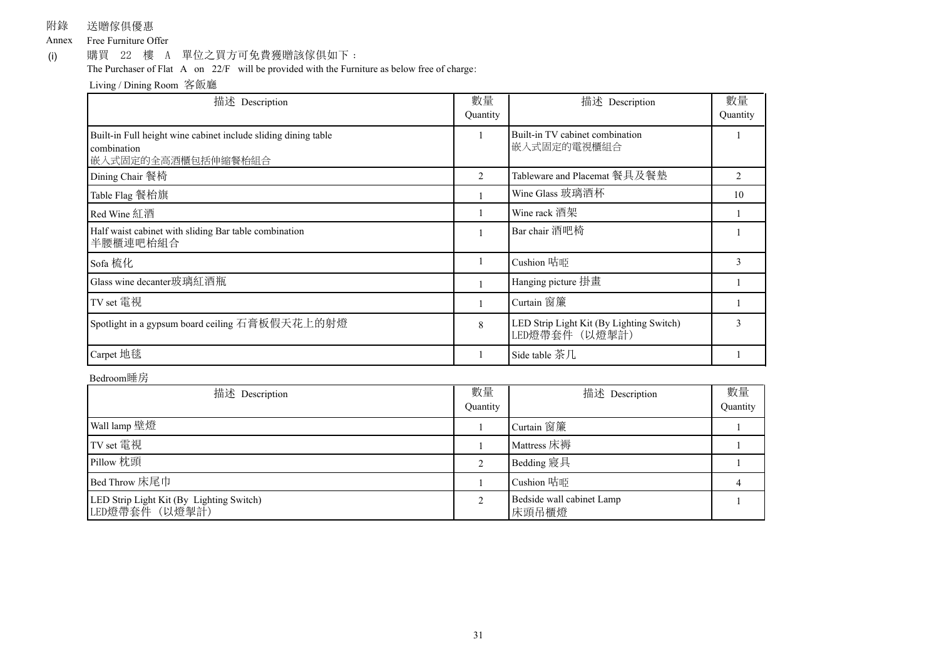附錄 送贈傢俱優惠

Annex Free Furniture Offer

購買 22 樓 A 單位之買方可免費獲贈該傢俱如下: (i)

The Purchaser of Flat A on 22/F will be provided with the Furniture as below free of charge:

Living / Dining Room 客飯廳

| 描述 Description                                                                                      | 數量<br>Quantity | 描述 Description                                             | 數量<br>Quantity |
|-----------------------------------------------------------------------------------------------------|----------------|------------------------------------------------------------|----------------|
| Built-in Full height wine cabinet include sliding dining table<br>combination<br>嵌入式固定的全高酒櫃包括伸縮餐枱組合 |                | Built-in TV cabinet combination<br>嵌入式固定的電視櫃組合             |                |
| Dining Chair 餐椅                                                                                     | $\overline{2}$ | Tableware and Placemat 餐具及餐墊                               | $\mathfrak{D}$ |
| Table Flag 餐枱旗                                                                                      |                | Wine Glass 玻璃酒杯                                            | 10             |
| Red Wine 紅酒                                                                                         |                | Wine rack 酒架                                               |                |
| Half waist cabinet with sliding Bar table combination<br>半腰櫃連吧枱組合                                   |                | Bar chair 酒吧椅                                              |                |
| Sofa 梳化                                                                                             |                | Cushion 咕吨                                                 | $\mathbf{3}$   |
| Glass wine decanter玻璃紅酒瓶                                                                            |                | Hanging picture 掛畫                                         |                |
| TV set 電視                                                                                           |                | Curtain 窗簾                                                 |                |
| Spotlight in a gypsum board ceiling 石膏板假天花上的射燈                                                      | 8              | LED Strip Light Kit (By Lighting Switch)<br>LED燈帶套件 (以燈掣計) | 3              |
| Carpet 地毯                                                                                           |                | Side table 茶几                                              |                |

#### Bedroom睡房

| 描述 Description                                             | 數量<br>Quantity | 描述 Description                     | 數量<br>Quantity |
|------------------------------------------------------------|----------------|------------------------------------|----------------|
| Wall lamp 壁燈                                               |                | Curtain 窗簾                         |                |
| TV set 電視                                                  |                | Mattress 床褥                        |                |
| Pillow 枕頭                                                  |                | Bedding 寢具                         |                |
| Bed Throw 床尾巾                                              |                | Cushion 咕咂                         |                |
| LED Strip Light Kit (By Lighting Switch)<br>LED燈帶套件 (以燈掣計) |                | Bedside wall cabinet Lamp<br>床頭吊櫃燈 |                |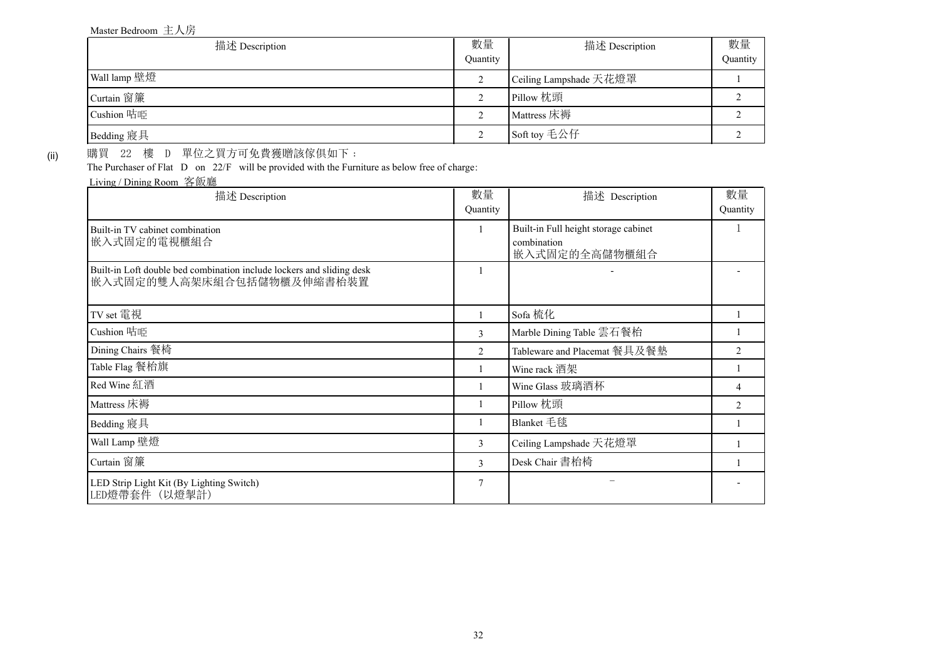#### Master Bedroom 主人房

| 描述 Description | 數量<br>Ouantity | 描述 Description         | 數量<br>Quantity |
|----------------|----------------|------------------------|----------------|
| Wall lamp 壁燈   |                | Ceiling Lampshade 天花燈罩 |                |
| Curtain 窗簾     |                | Pillow 枕頭              |                |
| Cushion 咕吨     |                | Mattress 床褥            |                |
| Bedding 寢具     |                | Soft toy 毛公仔           |                |

(ii)

購買 22 樓 D 單位之買方可免費獲贈該傢俱如下:

The Purchaser of Flat D on 22/F will be provided with the Furniture as below free of charge:

Living / Dining Room 客飯廳

| 描述 Description                                                                                     | 數量<br>Quantity | 描述 Description                                                       | 數量<br>Quantity |
|----------------------------------------------------------------------------------------------------|----------------|----------------------------------------------------------------------|----------------|
| Built-in TV cabinet combination<br>嵌入式固定的電視櫃組合                                                     |                | Built-in Full height storage cabinet<br>combination<br>嵌入式固定的全高儲物櫃組合 |                |
| Built-in Loft double bed combination include lockers and sliding desk<br>嵌入式固定的雙人高架床組合包括儲物櫃及伸縮書枱裝置 |                |                                                                      |                |
| TV set 電視                                                                                          |                | Sofa 梳化                                                              |                |
| Cushion 咕啞                                                                                         | 3              | Marble Dining Table 雲石餐枱                                             |                |
| Dining Chairs 餐椅                                                                                   | $\mathfrak{D}$ | Tableware and Placemat 餐具及餐墊                                         | $\mathfrak{D}$ |
| Table Flag 餐枱旗                                                                                     |                | Wine rack 酒架                                                         |                |
| Red Wine 紅酒                                                                                        |                | Wine Glass 玻璃酒杯                                                      |                |
| Mattress 床褥                                                                                        |                | Pillow 枕頭                                                            | $\mathcal{L}$  |
| Bedding 寢具                                                                                         |                | Blanket 毛毯                                                           |                |
| Wall Lamp 壁燈                                                                                       | 3              | Ceiling Lampshade 天花燈罩                                               |                |
| Curtain 窗簾                                                                                         | 3              | Desk Chair 書枱椅                                                       |                |
| LED Strip Light Kit (By Lighting Switch)<br>LED燈帶套件 (以燈掣計)                                         | 7              |                                                                      |                |